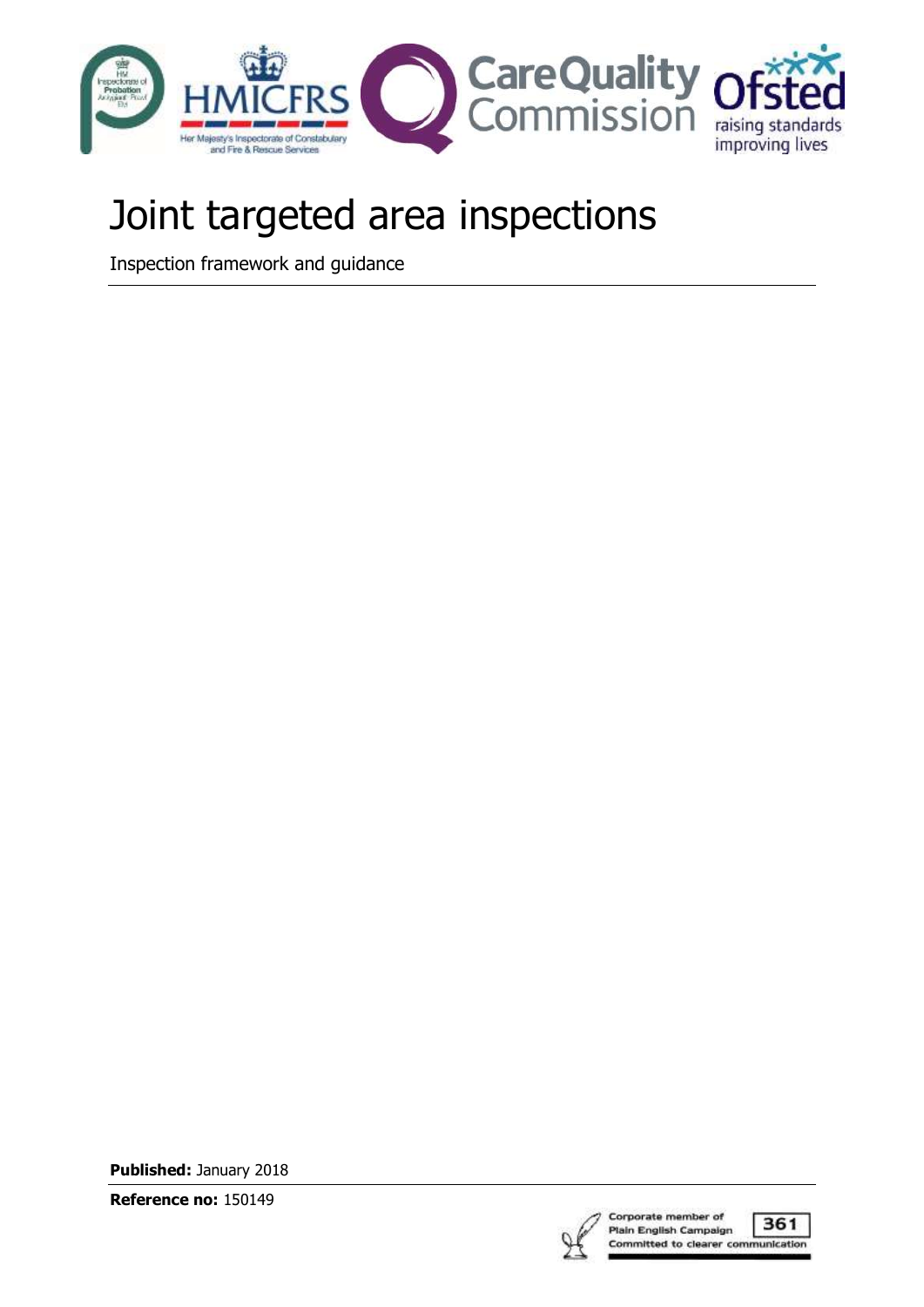

# Joint targeted area inspections

Inspection framework and guidance

**Published:** January 2018

**Reference no:** 150149

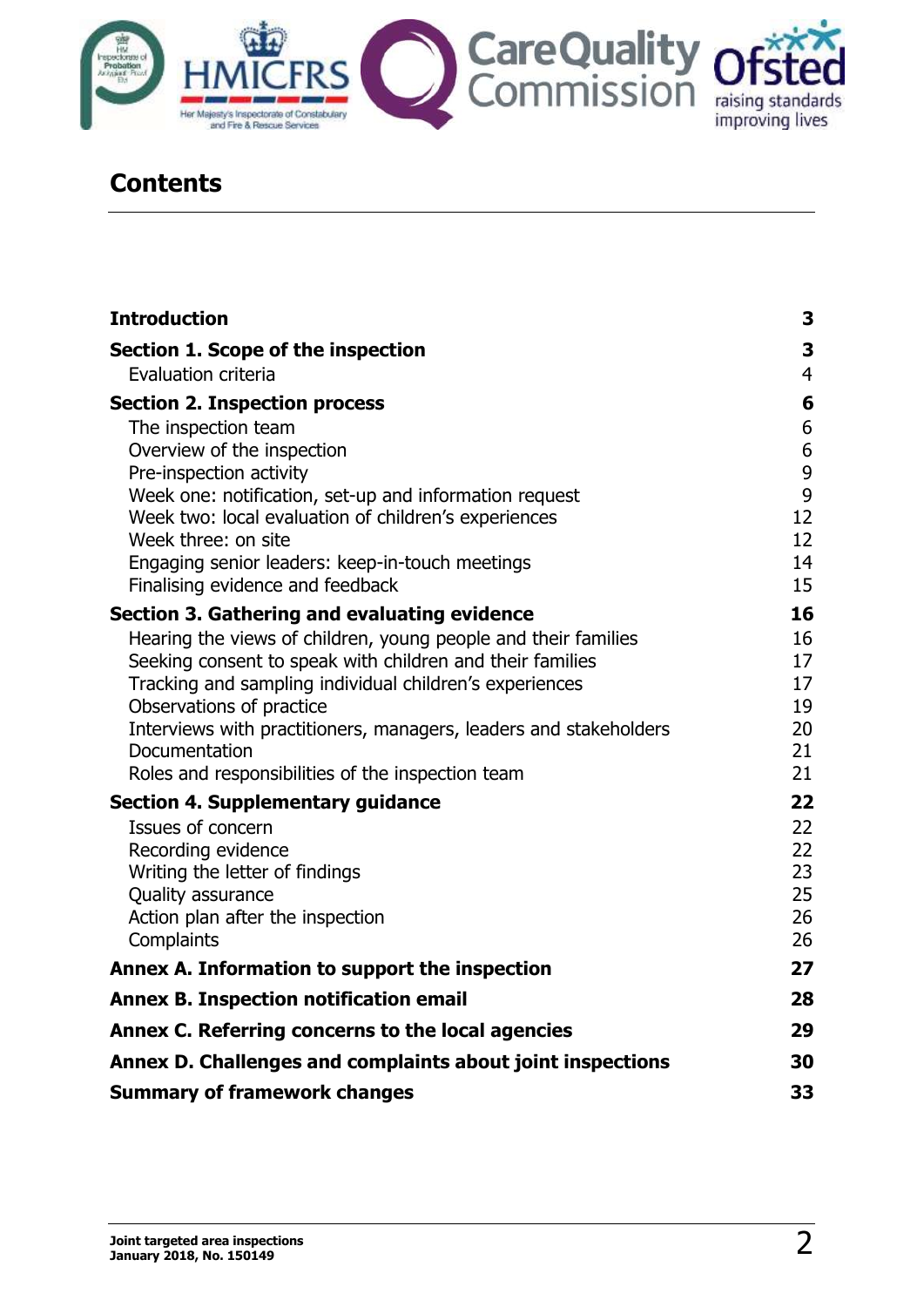

# **Contents**

| <b>Introduction</b>                                                                                            | 3              |
|----------------------------------------------------------------------------------------------------------------|----------------|
| Section 1. Scope of the inspection                                                                             | 3              |
| Evaluation criteria                                                                                            | $\overline{4}$ |
| <b>Section 2. Inspection process</b>                                                                           | 6              |
| The inspection team                                                                                            | 6              |
| Overview of the inspection                                                                                     | 6              |
| Pre-inspection activity                                                                                        | 9              |
| Week one: notification, set-up and information request<br>Week two: local evaluation of children's experiences | 9<br>12        |
| Week three: on site                                                                                            | 12             |
| Engaging senior leaders: keep-in-touch meetings                                                                | 14             |
| Finalising evidence and feedback                                                                               | 15             |
| Section 3. Gathering and evaluating evidence                                                                   | 16             |
| Hearing the views of children, young people and their families                                                 | 16             |
| Seeking consent to speak with children and their families                                                      | 17             |
| Tracking and sampling individual children's experiences                                                        | 17             |
| Observations of practice                                                                                       | 19             |
| Interviews with practitioners, managers, leaders and stakeholders<br>Documentation                             | 20<br>21       |
| Roles and responsibilities of the inspection team                                                              | 21             |
| <b>Section 4. Supplementary guidance</b>                                                                       | 22             |
| Issues of concern                                                                                              | 22             |
| Recording evidence                                                                                             | 22             |
| Writing the letter of findings                                                                                 | 23             |
| Quality assurance                                                                                              | 25             |
| Action plan after the inspection                                                                               | 26             |
| Complaints                                                                                                     | 26             |
| Annex A. Information to support the inspection                                                                 | 27             |
| <b>Annex B. Inspection notification email</b>                                                                  | 28             |
| Annex C. Referring concerns to the local agencies                                                              | 29             |
| Annex D. Challenges and complaints about joint inspections                                                     | 30             |
| <b>Summary of framework changes</b>                                                                            | 33             |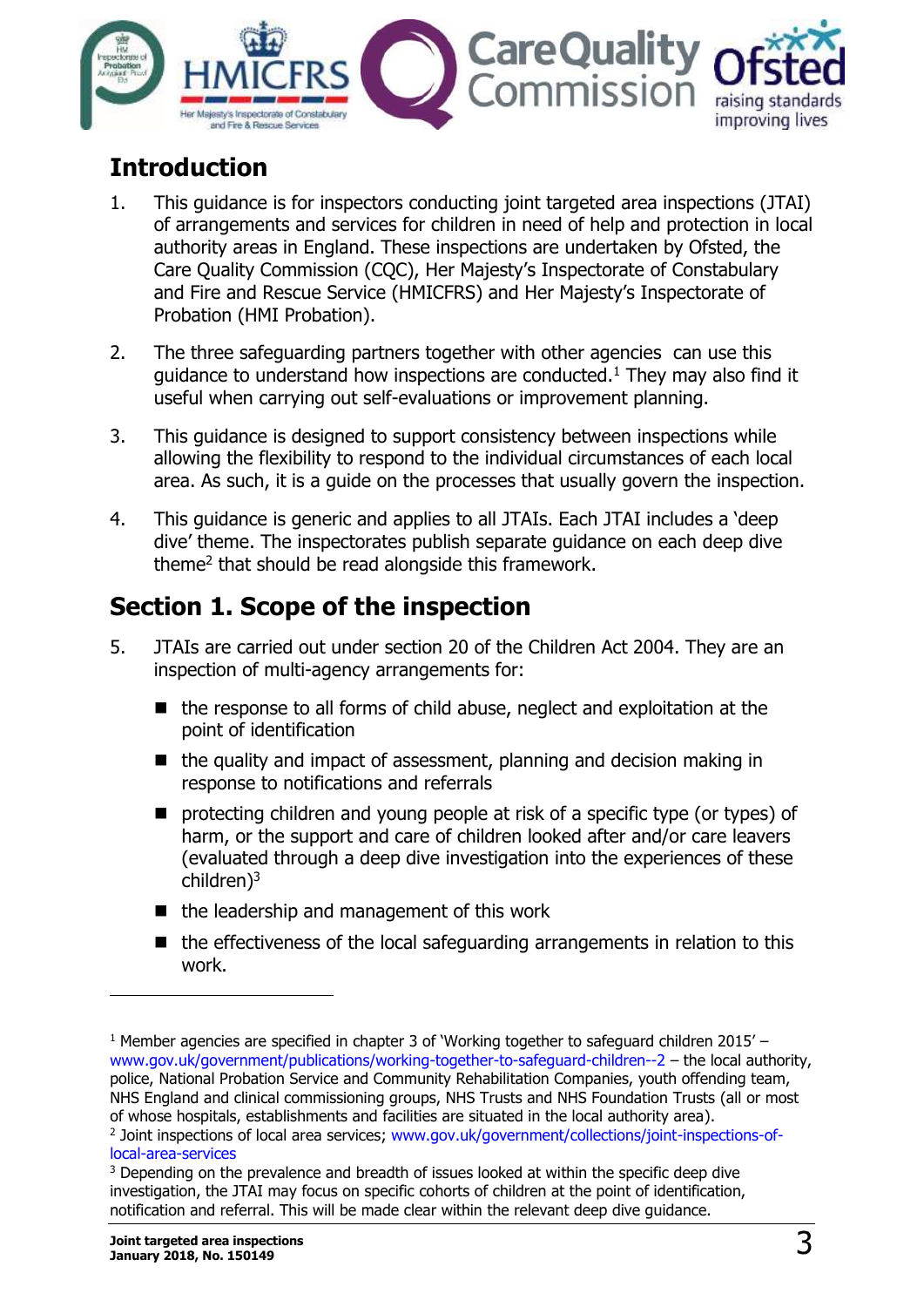

# <span id="page-2-0"></span>**Introduction**

- 1. This guidance is for inspectors conducting joint targeted area inspections (JTAI) of arrangements and services for children in need of help and protection in local authority areas in England. These inspections are undertaken by Ofsted, the Care Quality Commission (CQC), Her Majesty's Inspectorate of Constabulary and Fire and Rescue Service (HMICFRS) and Her Majesty's Inspectorate of Probation (HMI Probation).
- 2. The three safeguarding partners together with other agencies can use this quidance to understand how inspections are conducted.<sup>1</sup> They may also find it useful when carrying out self-evaluations or improvement planning.
- 3. This guidance is designed to support consistency between inspections while allowing the flexibility to respond to the individual circumstances of each local area. As such, it is a guide on the processes that usually govern the inspection.
- 4. This guidance is generic and applies to all JTAIs. Each JTAI includes a 'deep dive' theme. The inspectorates publish separate guidance on each deep dive theme<sup>2</sup> that should be read alongside this framework.

# <span id="page-2-1"></span>**Section 1. Scope of the inspection**

- 5. JTAIs are carried out under section 20 of the Children Act 2004. They are an inspection of multi-agency arrangements for:
	- the response to all forms of child abuse, neglect and exploitation at the point of identification
	- $\blacksquare$  the quality and impact of assessment, planning and decision making in response to notifications and referrals
	- **P** protecting children and young people at risk of a specific type (or types) of harm, or the support and care of children looked after and/or care leavers (evaluated through a deep dive investigation into the experiences of these children)<sup>3</sup>
	- $\blacksquare$  the leadership and management of this work
	- $\blacksquare$  the effectiveness of the local safeguarding arrangements in relation to this work.

 $\overline{a}$ 

<sup>&</sup>lt;sup>1</sup> Member agencies are specified in chapter 3 of 'Working together to safeguard children 2015' – [www.gov.uk/government/publications/working-together-to-safeguard-children--2](http://www.gov.uk/government/publications/working-together-to-safeguard-children--2) – the local authority, police, National Probation Service and Community Rehabilitation Companies, youth offending team, NHS England and clinical commissioning groups, NHS Trusts and NHS Foundation Trusts (all or most of whose hospitals, establishments and facilities are situated in the local authority area). <sup>2</sup> Joint inspections of local area services; [www.gov.uk/government/collections/joint-inspections-of](http://www.gov.uk/government/collections/joint-inspections-of-local-area-services)[local-area-services](http://www.gov.uk/government/collections/joint-inspections-of-local-area-services)

<sup>&</sup>lt;sup>3</sup> Depending on the prevalence and breadth of issues looked at within the specific deep dive investigation, the JTAI may focus on specific cohorts of children at the point of identification, notification and referral. This will be made clear within the relevant deep dive guidance.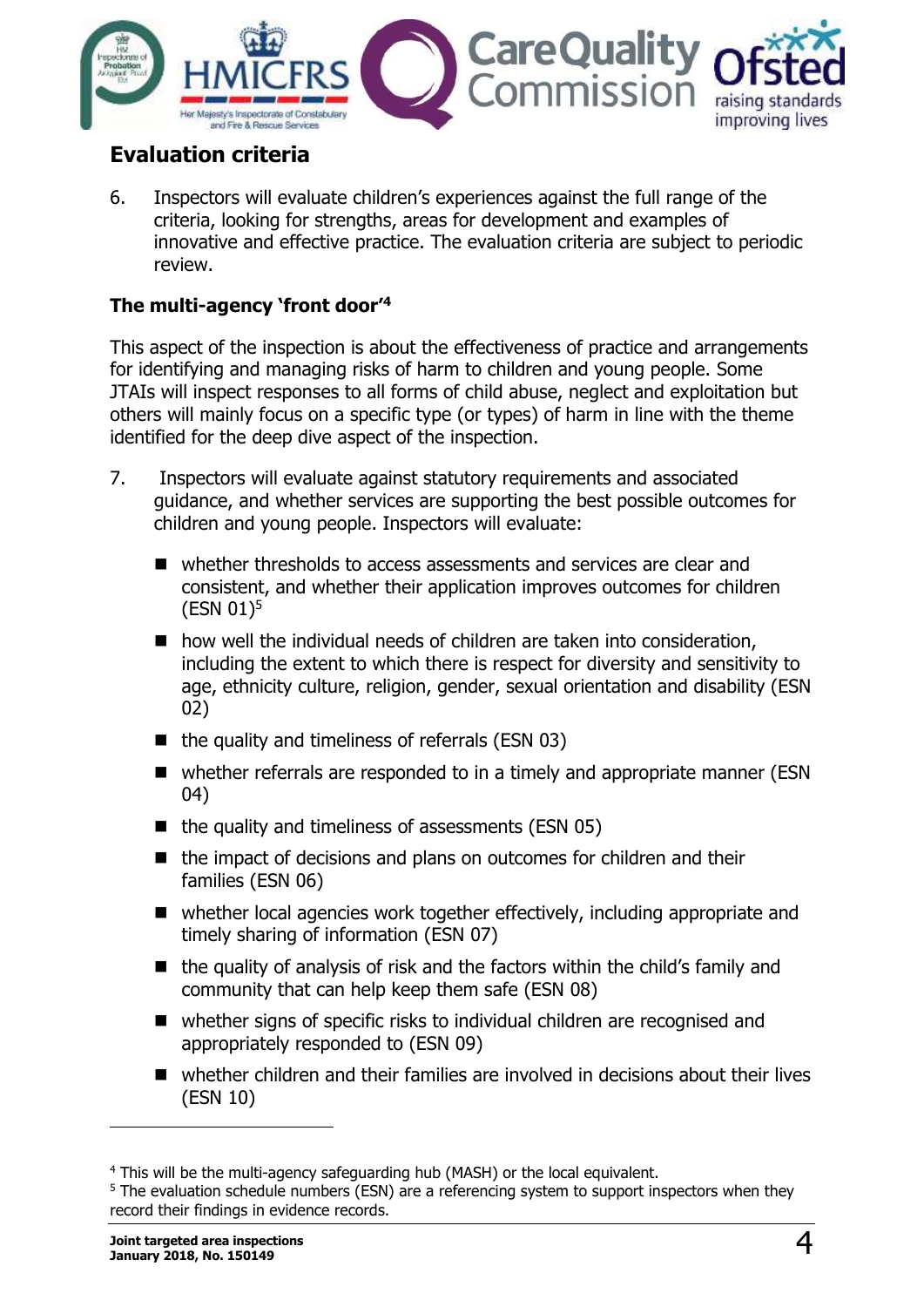

# <span id="page-3-0"></span>**Evaluation criteria**

6. Inspectors will evaluate children's experiences against the full range of the criteria, looking for strengths, areas for development and examples of innovative and effective practice. The evaluation criteria are subject to periodic review.

#### **The multi-agency 'front door'<sup>4</sup>**

This aspect of the inspection is about the effectiveness of practice and arrangements for identifying and managing risks of harm to children and young people. Some JTAIs will inspect responses to all forms of child abuse, neglect and exploitation but others will mainly focus on a specific type (or types) of harm in line with the theme identified for the deep dive aspect of the inspection.

- 7. Inspectors will evaluate against statutory requirements and associated guidance, and whether services are supporting the best possible outcomes for children and young people. Inspectors will evaluate:
	- whether thresholds to access assessments and services are clear and consistent, and whether their application improves outcomes for children (ESN 01)<sup>5</sup>
	- $\blacksquare$  how well the individual needs of children are taken into consideration, including the extent to which there is respect for diversity and sensitivity to age, ethnicity culture, religion, gender, sexual orientation and disability (ESN 02)
	- $\blacksquare$  the quality and timeliness of referrals (ESN 03)
	- whether referrals are responded to in a timely and appropriate manner (ESN 04)
	- $\blacksquare$  the quality and timeliness of assessments (ESN 05)
	- the impact of decisions and plans on outcomes for children and their families (ESN 06)
	- whether local agencies work together effectively, including appropriate and timely sharing of information (ESN 07)
	- $\blacksquare$  the quality of analysis of risk and the factors within the child's family and community that can help keep them safe (ESN 08)
	- whether signs of specific risks to individual children are recognised and appropriately responded to (ESN 09)
	- whether children and their families are involved in decisions about their lives (ESN 10)

-

<sup>4</sup> This will be the multi-agency safeguarding hub (MASH) or the local equivalent.

<sup>&</sup>lt;sup>5</sup> The evaluation schedule numbers (ESN) are a referencing system to support inspectors when they record their findings in evidence records.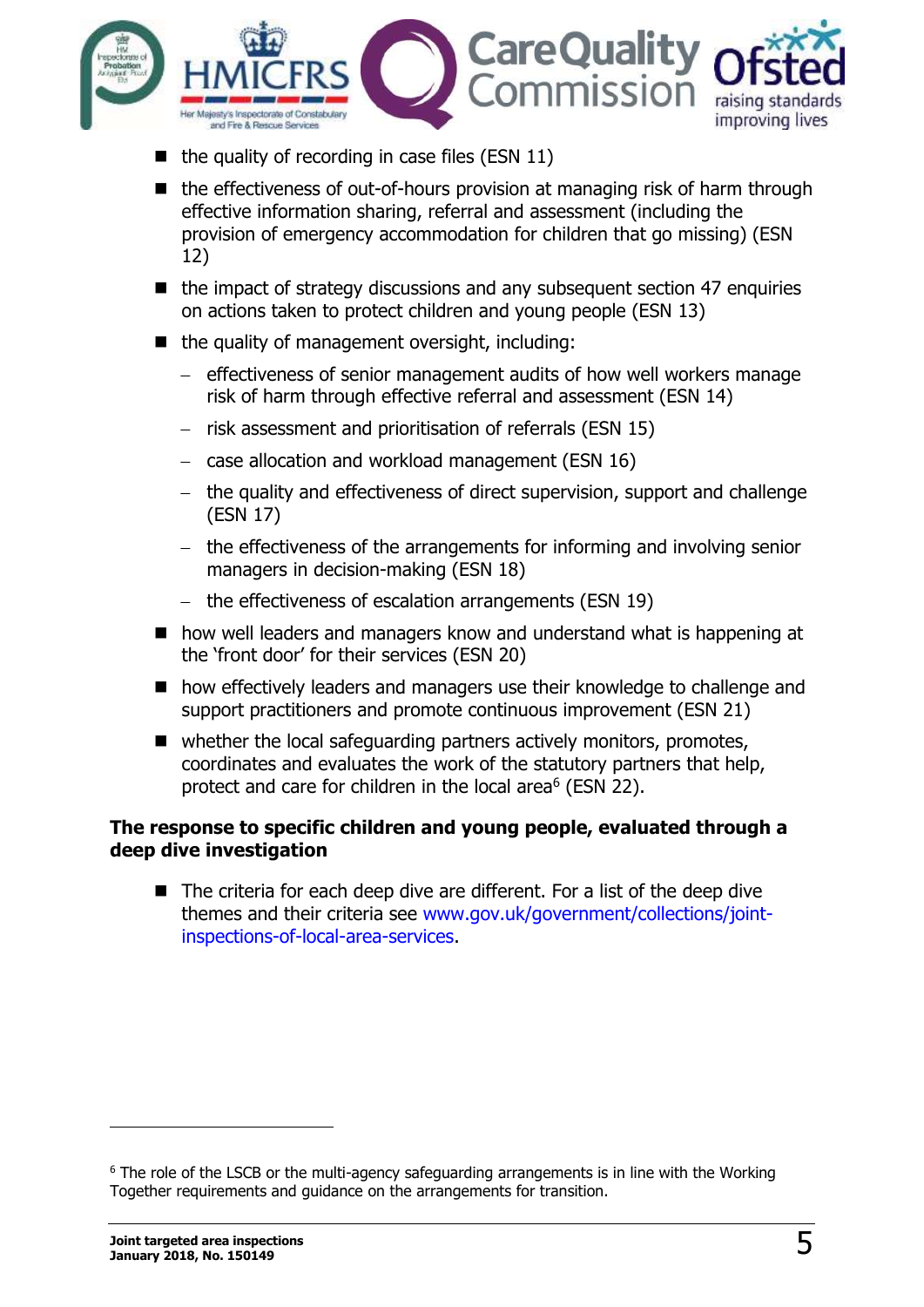

- the quality of recording in case files (ESN 11)
- $\blacksquare$  the effectiveness of out-of-hours provision at managing risk of harm through effective information sharing, referral and assessment (including the provision of emergency accommodation for children that go missing) (ESN 12)
- $\blacksquare$  the impact of strategy discussions and any subsequent section 47 enquiries on actions taken to protect children and young people (ESN 13)
- $\blacksquare$  the quality of management oversight, including:
	- effectiveness of senior management audits of how well workers manage risk of harm through effective referral and assessment (ESN 14)
	- risk assessment and prioritisation of referrals (ESN 15)
	- $-$  case allocation and workload management (ESN 16)
	- the quality and effectiveness of direct supervision, support and challenge (ESN 17)
	- the effectiveness of the arrangements for informing and involving senior managers in decision-making (ESN 18)
	- the effectiveness of escalation arrangements (ESN 19)
- how well leaders and managers know and understand what is happening at the 'front door' for their services (ESN 20)
- how effectively leaders and managers use their knowledge to challenge and support practitioners and promote continuous improvement (ESN 21)
- whether the local safeguarding partners actively monitors, promotes, coordinates and evaluates the work of the statutory partners that help, protect and care for children in the local area<sup>6</sup> (ESN 22).

#### **The response to specific children and young people, evaluated through a deep dive investigation**

■ The criteria for each deep dive are different. For a list of the deep dive themes and their criteria see [www.gov.uk/government/collections/joint](http://www.gov.uk/government/collections/joint-inspections-of-local-area-services)[inspections-of-local-area-services.](http://www.gov.uk/government/collections/joint-inspections-of-local-area-services)

-

<sup>&</sup>lt;sup>6</sup> The role of the LSCB or the multi-agency safeguarding arrangements is in line with the Working Together requirements and guidance on the arrangements for transition.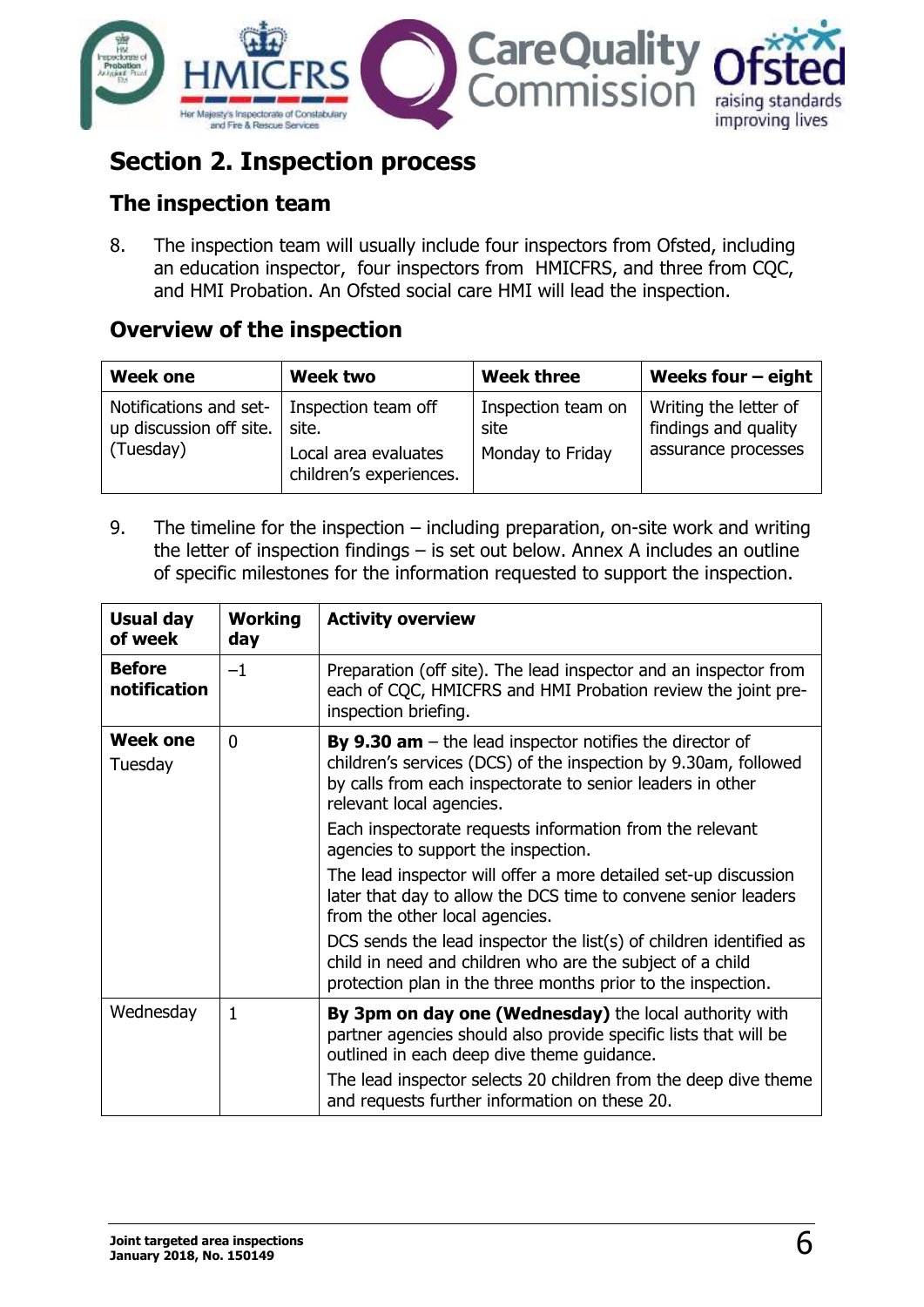

# <span id="page-5-0"></span>**Section 2. Inspection process**

# <span id="page-5-1"></span>**The inspection team**

8. The inspection team will usually include four inspectors from Ofsted, including an education inspector, four inspectors from HMICFRS, and three from CQC, and HMI Probation. An Ofsted social care HMI will lead the inspection.

# <span id="page-5-2"></span>**Overview of the inspection**

| <b>Week one</b>                                                                     | <b>Week two</b>                                                                 | <b>Week three</b>                              | Weeks four $-$ eight                                                 |
|-------------------------------------------------------------------------------------|---------------------------------------------------------------------------------|------------------------------------------------|----------------------------------------------------------------------|
| Notifications and set-<br>up discussion off site.<br>$\sqrt{\frac{1}{2}}$ (Tuesday) | Inspection team off<br>site.<br>Local area evaluates<br>children's experiences. | Inspection team on<br>site<br>Monday to Friday | Writing the letter of<br>findings and quality<br>assurance processes |

9. The timeline for the inspection – including preparation, on-site work and writing the letter of inspection findings – is set out below. Annex A includes an outline of specific milestones for the information requested to support the inspection.

| <b>Usual day</b><br>of week   | <b>Working</b><br>day | <b>Activity overview</b>                                                                                                                                                                                                       |
|-------------------------------|-----------------------|--------------------------------------------------------------------------------------------------------------------------------------------------------------------------------------------------------------------------------|
| <b>Before</b><br>notification | $-1$                  | Preparation (off site). The lead inspector and an inspector from<br>each of CQC, HMICFRS and HMI Probation review the joint pre-<br>inspection briefing.                                                                       |
| <b>Week one</b><br>Tuesday    | $\Omega$              | <b>By 9.30 am</b> $-$ the lead inspector notifies the director of<br>children's services (DCS) of the inspection by 9.30am, followed<br>by calls from each inspectorate to senior leaders in other<br>relevant local agencies. |
|                               |                       | Each inspectorate requests information from the relevant<br>agencies to support the inspection.                                                                                                                                |
|                               |                       | The lead inspector will offer a more detailed set-up discussion<br>later that day to allow the DCS time to convene senior leaders<br>from the other local agencies.                                                            |
|                               |                       | DCS sends the lead inspector the list(s) of children identified as<br>child in need and children who are the subject of a child<br>protection plan in the three months prior to the inspection.                                |
| Wednesday                     | 1                     | By 3pm on day one (Wednesday) the local authority with<br>partner agencies should also provide specific lists that will be<br>outlined in each deep dive theme guidance.                                                       |
|                               |                       | The lead inspector selects 20 children from the deep dive theme<br>and requests further information on these 20.                                                                                                               |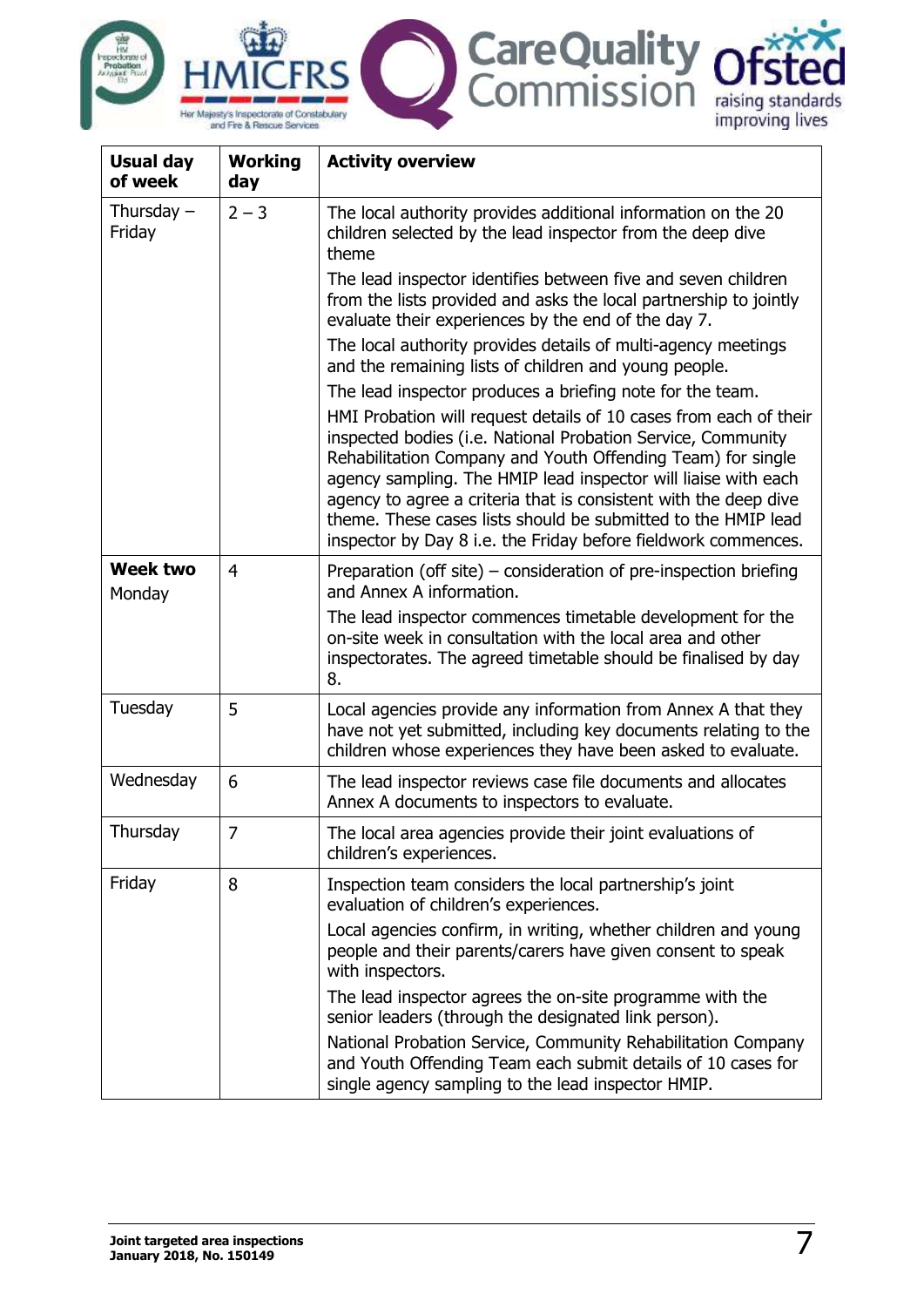

| <b>Usual day</b><br>of week | <b>Working</b><br>day | <b>Activity overview</b>                                                                                                                                                                                                                                                                                                                                                                                                                                                  |
|-----------------------------|-----------------------|---------------------------------------------------------------------------------------------------------------------------------------------------------------------------------------------------------------------------------------------------------------------------------------------------------------------------------------------------------------------------------------------------------------------------------------------------------------------------|
| Thursday $-$<br>Friday      | $2 - 3$               | The local authority provides additional information on the 20<br>children selected by the lead inspector from the deep dive<br>theme                                                                                                                                                                                                                                                                                                                                      |
|                             |                       | The lead inspector identifies between five and seven children<br>from the lists provided and asks the local partnership to jointly<br>evaluate their experiences by the end of the day 7.                                                                                                                                                                                                                                                                                 |
|                             |                       | The local authority provides details of multi-agency meetings<br>and the remaining lists of children and young people.                                                                                                                                                                                                                                                                                                                                                    |
|                             |                       | The lead inspector produces a briefing note for the team.                                                                                                                                                                                                                                                                                                                                                                                                                 |
|                             |                       | HMI Probation will request details of 10 cases from each of their<br>inspected bodies (i.e. National Probation Service, Community<br>Rehabilitation Company and Youth Offending Team) for single<br>agency sampling. The HMIP lead inspector will liaise with each<br>agency to agree a criteria that is consistent with the deep dive<br>theme. These cases lists should be submitted to the HMIP lead<br>inspector by Day 8 i.e. the Friday before fieldwork commences. |
| <b>Week two</b><br>Monday   | 4                     | Preparation (off site) – consideration of pre-inspection briefing<br>and Annex A information.                                                                                                                                                                                                                                                                                                                                                                             |
|                             |                       | The lead inspector commences timetable development for the<br>on-site week in consultation with the local area and other<br>inspectorates. The agreed timetable should be finalised by day<br>8.                                                                                                                                                                                                                                                                          |
| Tuesday                     | 5                     | Local agencies provide any information from Annex A that they<br>have not yet submitted, including key documents relating to the<br>children whose experiences they have been asked to evaluate.                                                                                                                                                                                                                                                                          |
| Wednesday                   | 6                     | The lead inspector reviews case file documents and allocates<br>Annex A documents to inspectors to evaluate.                                                                                                                                                                                                                                                                                                                                                              |
| Thursday                    | $\overline{7}$        | The local area agencies provide their joint evaluations of<br>children's experiences.                                                                                                                                                                                                                                                                                                                                                                                     |
| Friday                      | 8                     | Inspection team considers the local partnership's joint<br>evaluation of children's experiences.                                                                                                                                                                                                                                                                                                                                                                          |
|                             |                       | Local agencies confirm, in writing, whether children and young<br>people and their parents/carers have given consent to speak<br>with inspectors.                                                                                                                                                                                                                                                                                                                         |
|                             |                       | The lead inspector agrees the on-site programme with the<br>senior leaders (through the designated link person).                                                                                                                                                                                                                                                                                                                                                          |
|                             |                       | National Probation Service, Community Rehabilitation Company<br>and Youth Offending Team each submit details of 10 cases for<br>single agency sampling to the lead inspector HMIP.                                                                                                                                                                                                                                                                                        |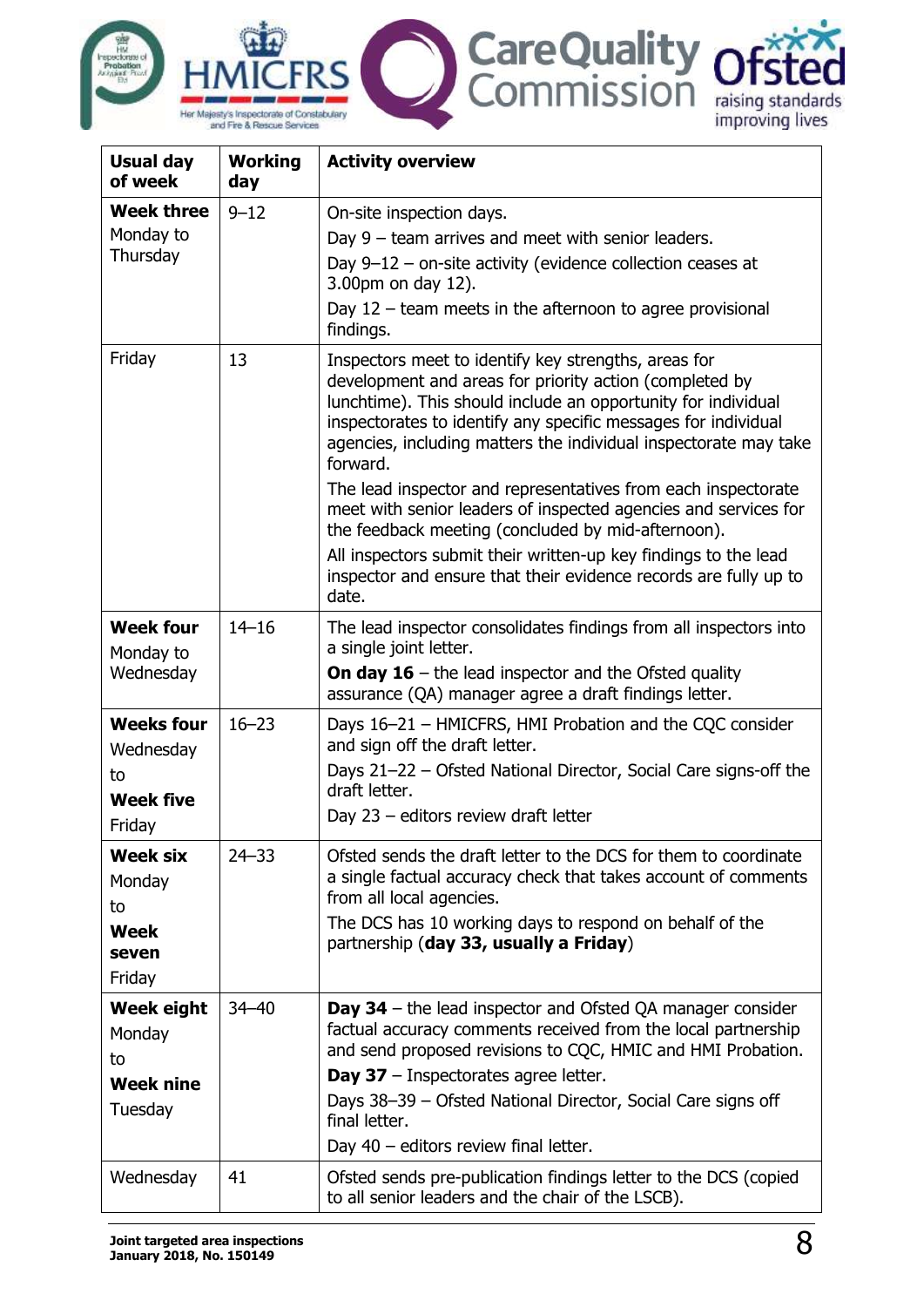



| <b>Usual day</b><br>of week | <b>Working</b><br>day | <b>Activity overview</b>                                                                                                                                                                                                                                                                                                           |
|-----------------------------|-----------------------|------------------------------------------------------------------------------------------------------------------------------------------------------------------------------------------------------------------------------------------------------------------------------------------------------------------------------------|
| <b>Week three</b>           | $9 - 12$              | On-site inspection days.                                                                                                                                                                                                                                                                                                           |
| Monday to                   |                       | Day $9$ – team arrives and meet with senior leaders.                                                                                                                                                                                                                                                                               |
| Thursday                    |                       | Day $9-12$ – on-site activity (evidence collection ceases at<br>3.00pm on day 12).                                                                                                                                                                                                                                                 |
|                             |                       | Day $12$ – team meets in the afternoon to agree provisional<br>findings.                                                                                                                                                                                                                                                           |
| Friday                      | 13                    | Inspectors meet to identify key strengths, areas for<br>development and areas for priority action (completed by<br>lunchtime). This should include an opportunity for individual<br>inspectorates to identify any specific messages for individual<br>agencies, including matters the individual inspectorate may take<br>forward. |
|                             |                       | The lead inspector and representatives from each inspectorate<br>meet with senior leaders of inspected agencies and services for<br>the feedback meeting (concluded by mid-afternoon).                                                                                                                                             |
|                             |                       | All inspectors submit their written-up key findings to the lead<br>inspector and ensure that their evidence records are fully up to<br>date.                                                                                                                                                                                       |
| <b>Week four</b>            | $14 - 16$             | The lead inspector consolidates findings from all inspectors into                                                                                                                                                                                                                                                                  |
| Monday to                   |                       | a single joint letter.                                                                                                                                                                                                                                                                                                             |
| Wednesday                   |                       | <b>On day 16</b> – the lead inspector and the Ofsted quality<br>assurance (QA) manager agree a draft findings letter.                                                                                                                                                                                                              |
| <b>Weeks four</b>           | $16 - 23$             | Days 16-21 - HMICFRS, HMI Probation and the CQC consider<br>and sign off the draft letter.                                                                                                                                                                                                                                         |
| Wednesday<br>to             |                       | Days 21-22 - Ofsted National Director, Social Care signs-off the                                                                                                                                                                                                                                                                   |
| <b>Week five</b>            |                       | draft letter.<br>Day 23 - editors review draft letter                                                                                                                                                                                                                                                                              |
| Friday                      |                       |                                                                                                                                                                                                                                                                                                                                    |
| <b>Week six</b>             | $24 - 33$             | Ofsted sends the draft letter to the DCS for them to coordinate                                                                                                                                                                                                                                                                    |
| Monday                      |                       | a single factual accuracy check that takes account of comments<br>from all local agencies.                                                                                                                                                                                                                                         |
| to                          |                       | The DCS has 10 working days to respond on behalf of the                                                                                                                                                                                                                                                                            |
| <b>Week</b><br>seven        |                       | partnership (day 33, usually a Friday)                                                                                                                                                                                                                                                                                             |
| Friday                      |                       |                                                                                                                                                                                                                                                                                                                                    |
| <b>Week eight</b>           | $34 - 40$             | <b>Day 34</b> – the lead inspector and Ofsted QA manager consider                                                                                                                                                                                                                                                                  |
| Monday                      |                       | factual accuracy comments received from the local partnership                                                                                                                                                                                                                                                                      |
| to                          |                       | and send proposed revisions to CQC, HMIC and HMI Probation.                                                                                                                                                                                                                                                                        |
| <b>Week nine</b>            |                       | Day 37 - Inspectorates agree letter.<br>Days 38-39 - Ofsted National Director, Social Care signs off                                                                                                                                                                                                                               |
| Tuesday                     |                       | final letter.                                                                                                                                                                                                                                                                                                                      |
|                             |                       | Day $40$ – editors review final letter.                                                                                                                                                                                                                                                                                            |
| Wednesday                   | 41                    | Ofsted sends pre-publication findings letter to the DCS (copied<br>to all senior leaders and the chair of the LSCB).                                                                                                                                                                                                               |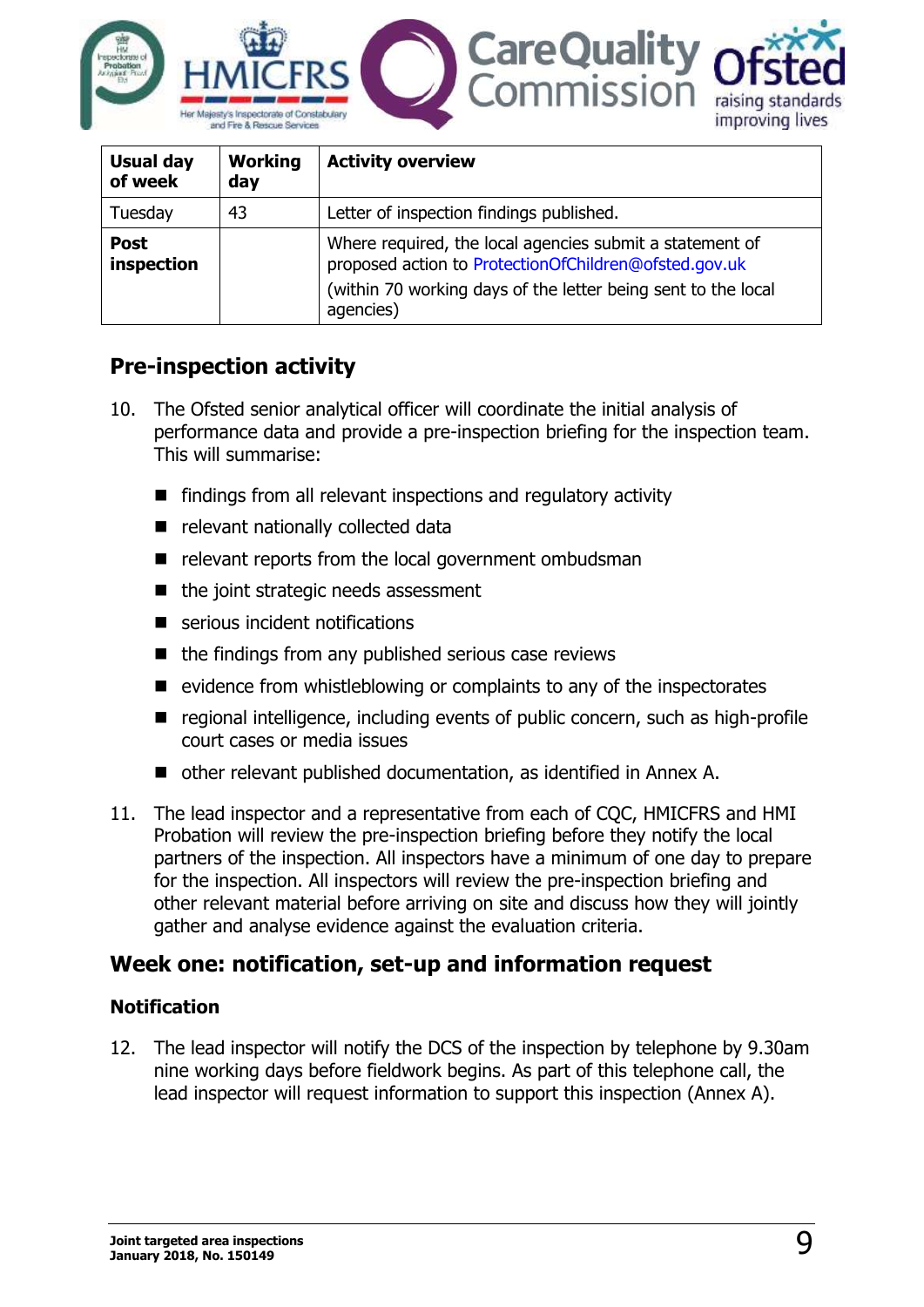

| <b>Usual day</b><br>of week | <b>Working</b><br>day | <b>Activity overview</b>                                                                                                                                                                        |
|-----------------------------|-----------------------|-------------------------------------------------------------------------------------------------------------------------------------------------------------------------------------------------|
| Tuesday                     | 43                    | Letter of inspection findings published.                                                                                                                                                        |
| <b>Post</b><br>inspection   |                       | Where required, the local agencies submit a statement of<br>proposed action to ProtectionOfChildren@ofsted.gov.uk<br>(within 70 working days of the letter being sent to the local<br>agencies) |

# <span id="page-8-0"></span>**Pre-inspection activity**

- 10. The Ofsted senior analytical officer will coordinate the initial analysis of performance data and provide a pre-inspection briefing for the inspection team. This will summarise:
	- **F** findings from all relevant inspections and regulatory activity
	- e relevant nationally collected data
	- $\blacksquare$  relevant reports from the local government ombudsman
	- $\blacksquare$  the joint strategic needs assessment
	- serious incident notifications
	- $\blacksquare$  the findings from any published serious case reviews
	- $\blacksquare$  evidence from whistleblowing or complaints to any of the inspectorates
	- regional intelligence, including events of public concern, such as high-profile court cases or media issues
	- other relevant published documentation, as identified in Annex A.
- 11. The lead inspector and a representative from each of CQC, HMICFRS and HMI Probation will review the pre-inspection briefing before they notify the local partners of the inspection. All inspectors have a minimum of one day to prepare for the inspection. All inspectors will review the pre-inspection briefing and other relevant material before arriving on site and discuss how they will jointly gather and analyse evidence against the evaluation criteria.

### <span id="page-8-1"></span>**Week one: notification, set-up and information request**

#### **Notification**

12. The lead inspector will notify the DCS of the inspection by telephone by 9.30am nine working days before fieldwork begins. As part of this telephone call, the lead inspector will request information to support this inspection (Annex A).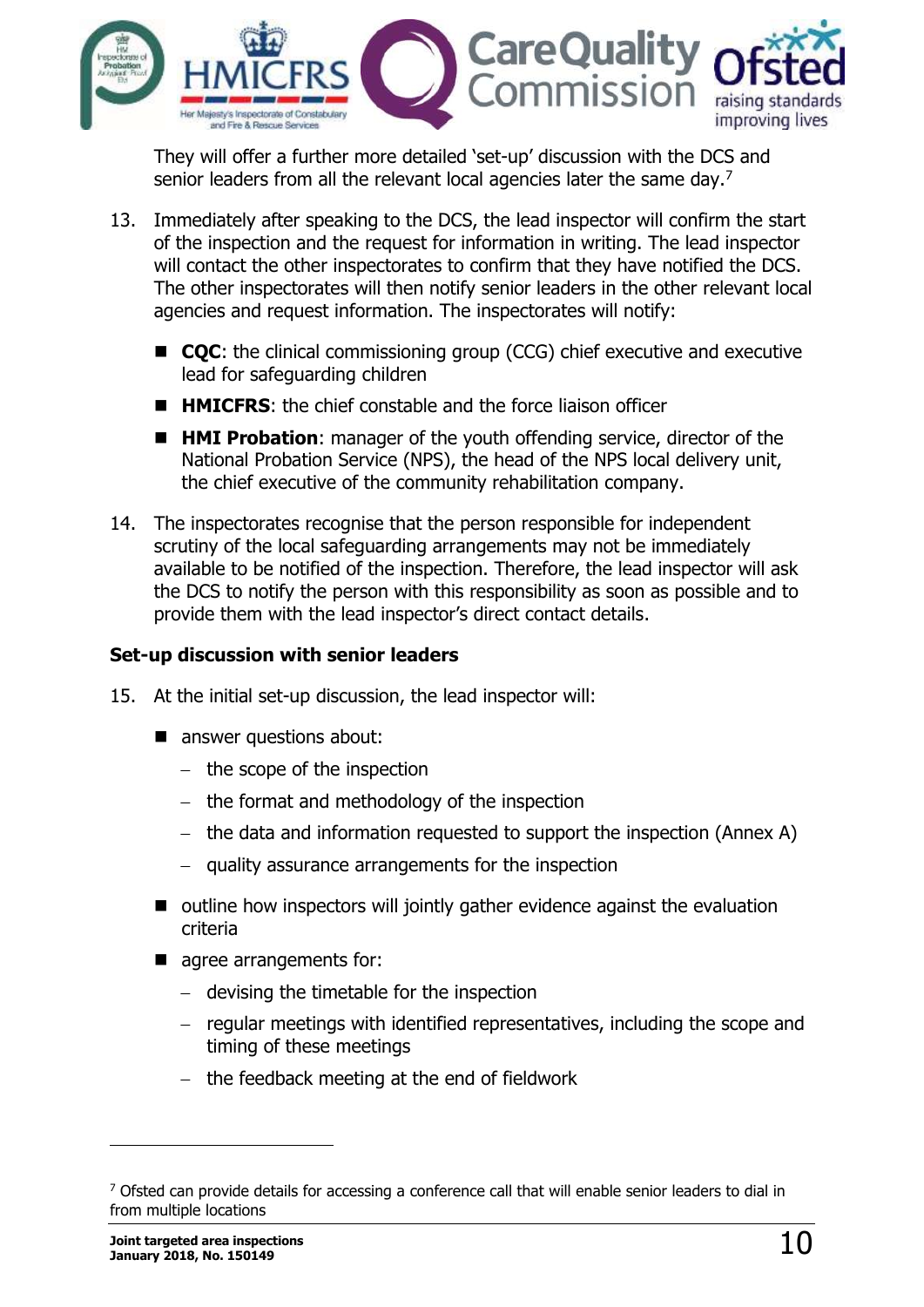

They will offer a further more detailed 'set-up' discussion with the DCS and senior leaders from all the relevant local agencies later the same day.<sup>7</sup>

- 13. Immediately after speaking to the DCS, the lead inspector will confirm the start of the inspection and the request for information in writing. The lead inspector will contact the other inspectorates to confirm that they have notified the DCS. The other inspectorates will then notify senior leaders in the other relevant local agencies and request information. The inspectorates will notify:
	- **CQC**: the clinical commissioning group (CCG) chief executive and executive lead for safeguarding children
	- **HIMICFRS:** the chief constable and the force liaison officer
	- **HMI Probation**: manager of the youth offending service, director of the National Probation Service (NPS), the head of the NPS local delivery unit, the chief executive of the community rehabilitation company.
- 14. The inspectorates recognise that the person responsible for independent scrutiny of the local safeguarding arrangements may not be immediately available to be notified of the inspection. Therefore, the lead inspector will ask the DCS to notify the person with this responsibility as soon as possible and to provide them with the lead inspector's direct contact details.

#### **Set-up discussion with senior leaders**

- 15. At the initial set-up discussion, the lead inspector will:
	- answer questions about:
		- $-$  the scope of the inspection
		- $-$  the format and methodology of the inspection
		- the data and information requested to support the inspection (Annex A)
		- quality assurance arrangements for the inspection
	- outline how inspectors will jointly gather evidence against the evaluation criteria
	- agree arrangements for:
		- devising the timetable for the inspection
		- $-$  regular meetings with identified representatives, including the scope and timing of these meetings
		- $-$  the feedback meeting at the end of fieldwork

j

<sup>&</sup>lt;sup>7</sup> Ofsted can provide details for accessing a conference call that will enable senior leaders to dial in from multiple locations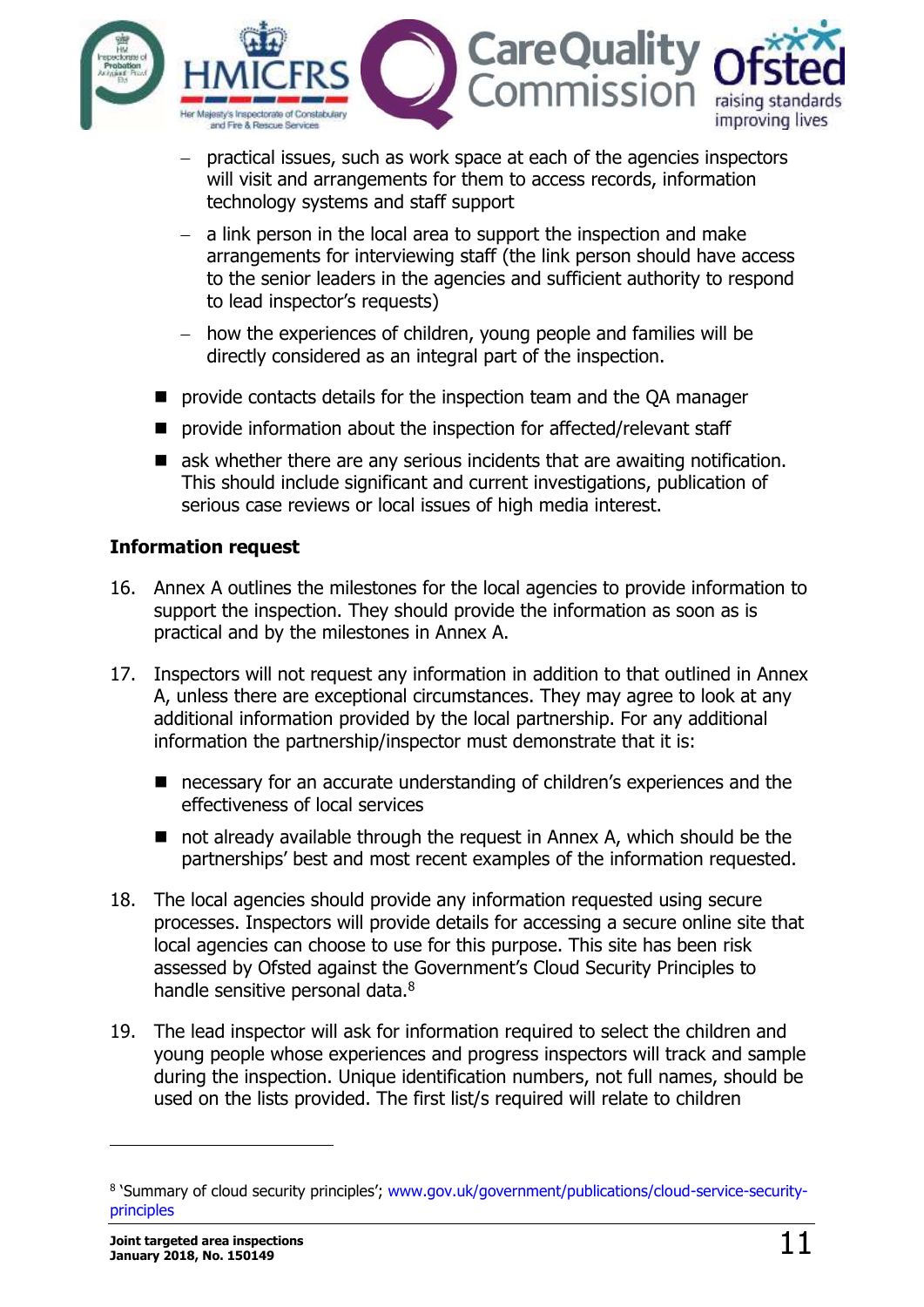

- practical issues, such as work space at each of the agencies inspectors will visit and arrangements for them to access records, information technology systems and staff support
- $-$  a link person in the local area to support the inspection and make arrangements for interviewing staff (the link person should have access to the senior leaders in the agencies and sufficient authority to respond to lead inspector's requests)
- how the experiences of children, young people and families will be directly considered as an integral part of the inspection.
- provide contacts details for the inspection team and the QA manager
- **P** provide information about the inspection for affected/relevant staff
- **E** ask whether there are any serious incidents that are awaiting notification. This should include significant and current investigations, publication of serious case reviews or local issues of high media interest.

#### **Information request**

- 16. Annex A outlines the milestones for the local agencies to provide information to support the inspection. They should provide the information as soon as is practical and by the milestones in Annex A.
- 17. Inspectors will not request any information in addition to that outlined in Annex A, unless there are exceptional circumstances. They may agree to look at any additional information provided by the local partnership. For any additional information the partnership/inspector must demonstrate that it is:
	- necessary for an accurate understanding of children's experiences and the effectiveness of local services
	- not already available through the request in Annex A, which should be the partnerships' best and most recent examples of the information requested.
- 18. The local agencies should provide any information requested using secure processes. Inspectors will provide details for accessing a secure online site that local agencies can choose to use for this purpose. This site has been risk assessed by Ofsted against the Government's Cloud Security Principles to handle sensitive personal data.<sup>8</sup>
- 19. The lead inspector will ask for information required to select the children and young people whose experiences and progress inspectors will track and sample during the inspection. Unique identification numbers, not full names, should be used on the lists provided. The first list/s required will relate to children

j

<sup>&</sup>lt;sup>8</sup> `Summary of cloud security principles'; [www.gov.uk/government/publications/cloud-service-security](http://www.gov.uk/government/publications/cloud-service-security-principles)[principles](http://www.gov.uk/government/publications/cloud-service-security-principles)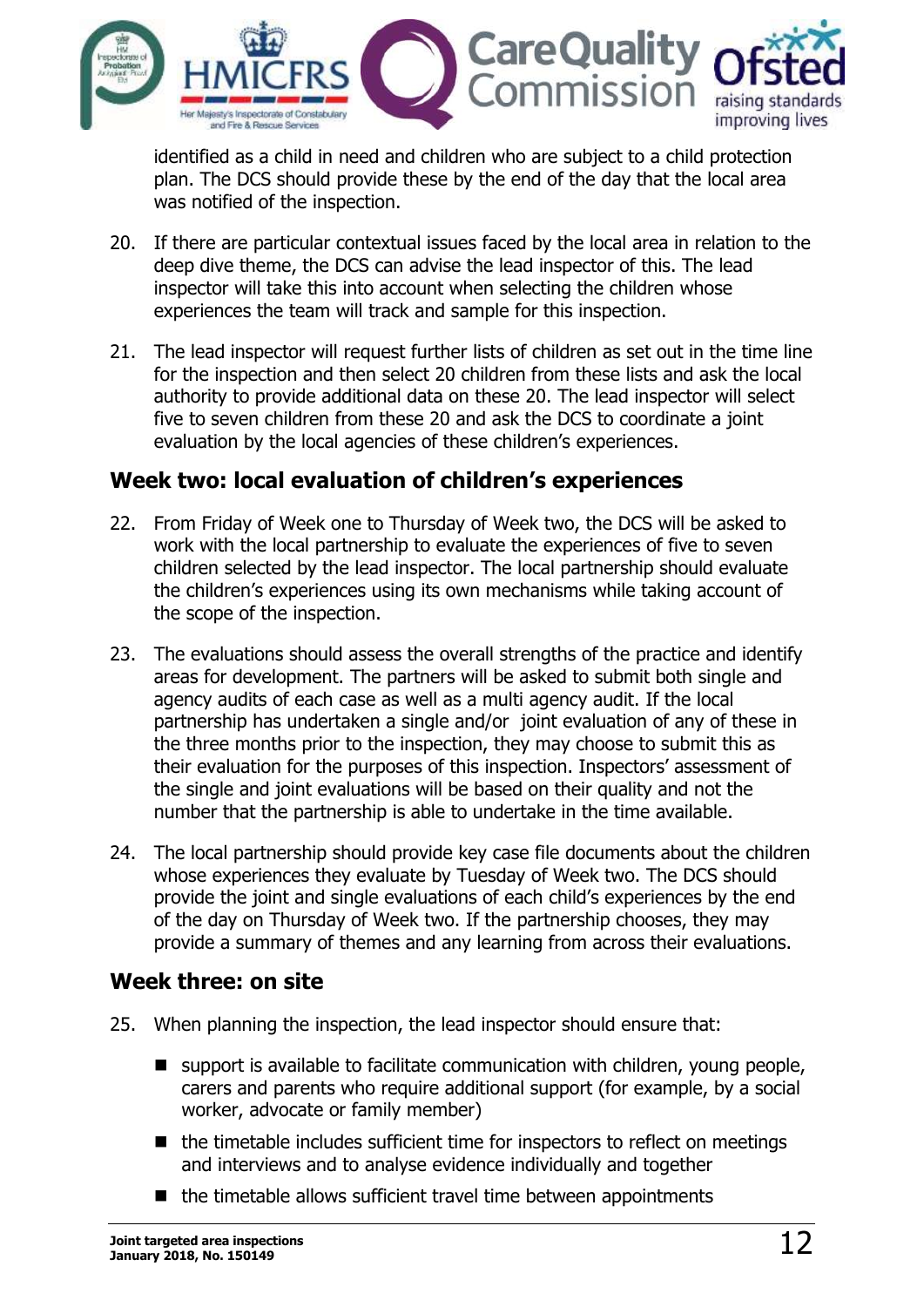

identified as a child in need and children who are subject to a child protection plan. The DCS should provide these by the end of the day that the local area was notified of the inspection.

- 20. If there are particular contextual issues faced by the local area in relation to the deep dive theme, the DCS can advise the lead inspector of this. The lead inspector will take this into account when selecting the children whose experiences the team will track and sample for this inspection.
- 21. The lead inspector will request further lists of children as set out in the time line for the inspection and then select 20 children from these lists and ask the local authority to provide additional data on these 20. The lead inspector will select five to seven children from these 20 and ask the DCS to coordinate a joint evaluation by the local agencies of these children's experiences.

### <span id="page-11-0"></span>**Week two: local evaluation of children's experiences**

- 22. From Friday of Week one to Thursday of Week two, the DCS will be asked to work with the local partnership to evaluate the experiences of five to seven children selected by the lead inspector. The local partnership should evaluate the children's experiences using its own mechanisms while taking account of the scope of the inspection.
- 23. The evaluations should assess the overall strengths of the practice and identify areas for development. The partners will be asked to submit both single and agency audits of each case as well as a multi agency audit. If the local partnership has undertaken a single and/or joint evaluation of any of these in the three months prior to the inspection, they may choose to submit this as their evaluation for the purposes of this inspection. Inspectors' assessment of the single and joint evaluations will be based on their quality and not the number that the partnership is able to undertake in the time available.
- 24. The local partnership should provide key case file documents about the children whose experiences they evaluate by Tuesday of Week two. The DCS should provide the joint and single evaluations of each child's experiences by the end of the day on Thursday of Week two. If the partnership chooses, they may provide a summary of themes and any learning from across their evaluations.

#### <span id="page-11-1"></span>**Week three: on site**

- 25. When planning the inspection, the lead inspector should ensure that:
	- support is available to facilitate communication with children, young people, carers and parents who require additional support (for example, by a social worker, advocate or family member)
	- $\blacksquare$  the timetable includes sufficient time for inspectors to reflect on meetings and interviews and to analyse evidence individually and together
	- $\blacksquare$  the timetable allows sufficient travel time between appointments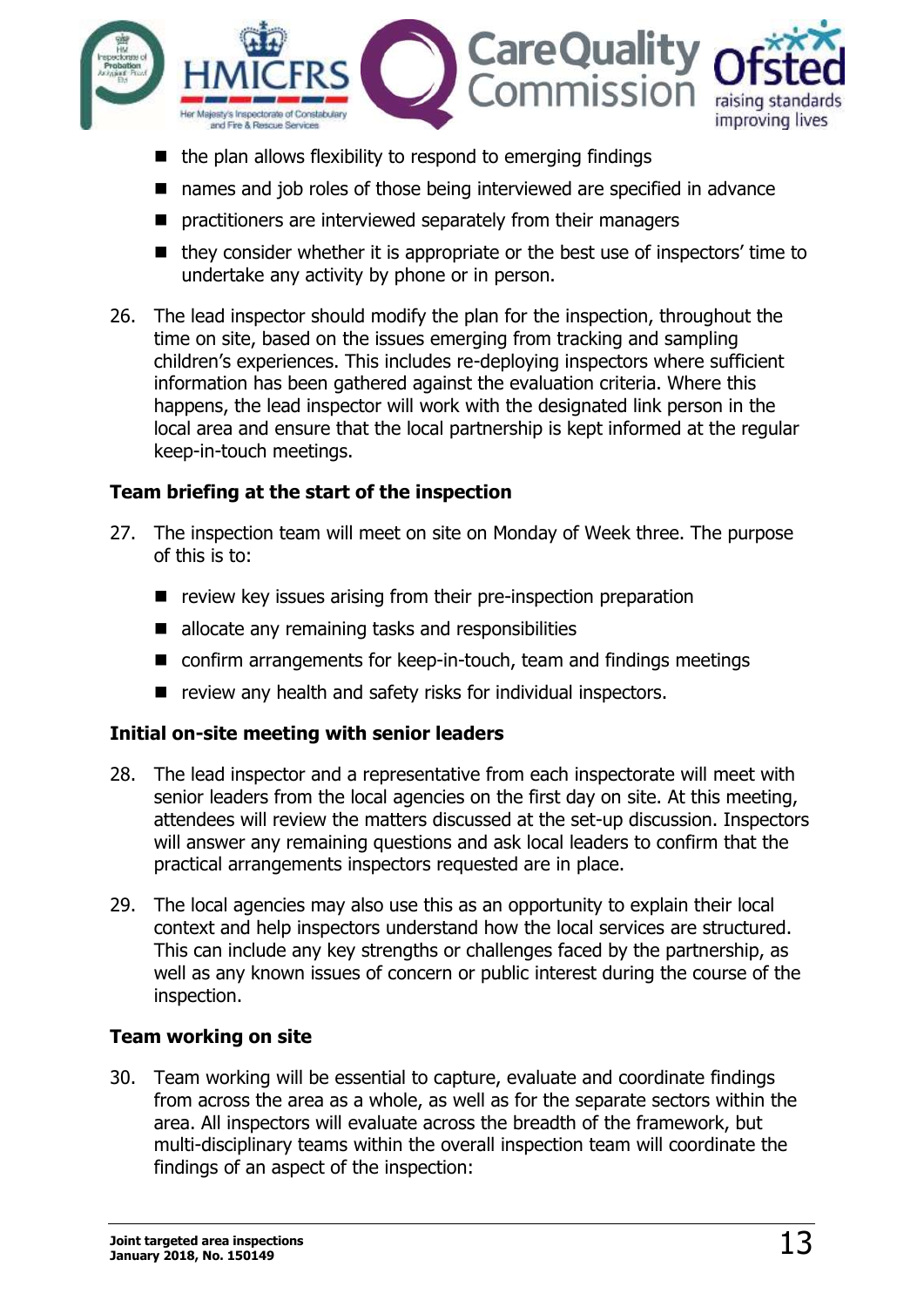

- $\blacksquare$  the plan allows flexibility to respond to emerging findings
- names and job roles of those being interviewed are specified in advance
- **P** practitioners are interviewed separately from their managers
- $\blacksquare$  they consider whether it is appropriate or the best use of inspectors' time to undertake any activity by phone or in person.
- 26. The lead inspector should modify the plan for the inspection, throughout the time on site, based on the issues emerging from tracking and sampling children's experiences. This includes re-deploying inspectors where sufficient information has been gathered against the evaluation criteria. Where this happens, the lead inspector will work with the designated link person in the local area and ensure that the local partnership is kept informed at the regular keep-in-touch meetings.

#### **Team briefing at the start of the inspection**

- 27. The inspection team will meet on site on Monday of Week three. The purpose of this is to:
	- $\blacksquare$  review key issues arising from their pre-inspection preparation
	- allocate any remaining tasks and responsibilities
	- confirm arrangements for keep-in-touch, team and findings meetings
	- review any health and safety risks for individual inspectors.

#### **Initial on-site meeting with senior leaders**

- 28. The lead inspector and a representative from each inspectorate will meet with senior leaders from the local agencies on the first day on site. At this meeting, attendees will review the matters discussed at the set-up discussion. Inspectors will answer any remaining questions and ask local leaders to confirm that the practical arrangements inspectors requested are in place.
- 29. The local agencies may also use this as an opportunity to explain their local context and help inspectors understand how the local services are structured. This can include any key strengths or challenges faced by the partnership, as well as any known issues of concern or public interest during the course of the inspection.

#### **Team working on site**

30. Team working will be essential to capture, evaluate and coordinate findings from across the area as a whole, as well as for the separate sectors within the area. All inspectors will evaluate across the breadth of the framework, but multi-disciplinary teams within the overall inspection team will coordinate the findings of an aspect of the inspection: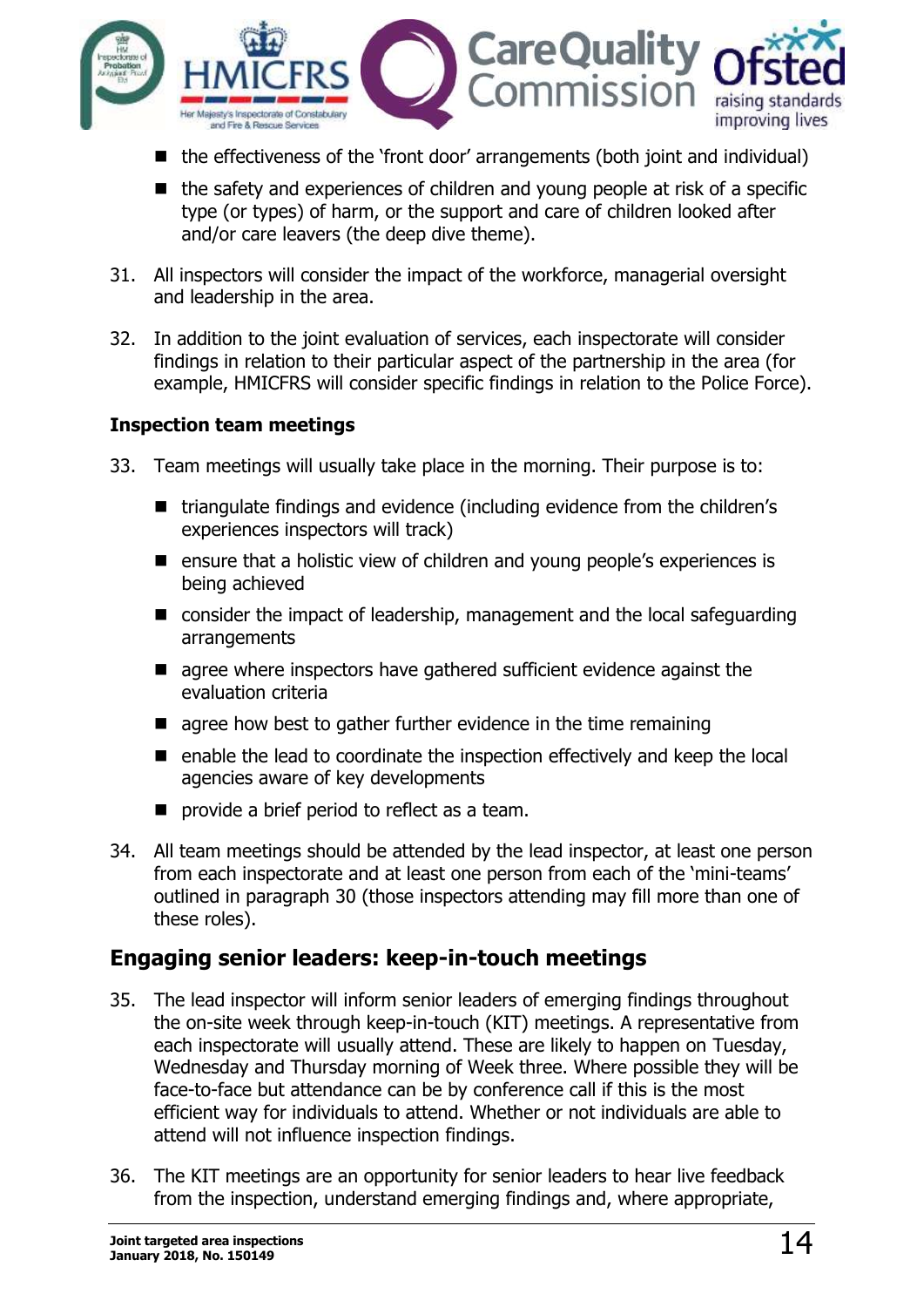

- $\blacksquare$  the effectiveness of the 'front door' arrangements (both joint and individual)
- $\blacksquare$  the safety and experiences of children and young people at risk of a specific type (or types) of harm, or the support and care of children looked after and/or care leavers (the deep dive theme).
- 31. All inspectors will consider the impact of the workforce, managerial oversight and leadership in the area.
- 32. In addition to the joint evaluation of services, each inspectorate will consider findings in relation to their particular aspect of the partnership in the area (for example, HMICFRS will consider specific findings in relation to the Police Force).

#### **Inspection team meetings**

- 33. Team meetings will usually take place in the morning. Their purpose is to:
	- triangulate findings and evidence (including evidence from the children's experiences inspectors will track)
	- ensure that a holistic view of children and young people's experiences is being achieved
	- consider the impact of leadership, management and the local safeguarding arrangements
	- **E** agree where inspectors have gathered sufficient evidence against the evaluation criteria
	- $\blacksquare$  agree how best to gather further evidence in the time remaining
	- enable the lead to coordinate the inspection effectively and keep the local agencies aware of key developments
	- **P** provide a brief period to reflect as a team.
- 34. All team meetings should be attended by the lead inspector, at least one person from each inspectorate and at least one person from each of the 'mini-teams' outlined in paragraph 30 (those inspectors attending may fill more than one of these roles).

# <span id="page-13-0"></span>**Engaging senior leaders: keep-in-touch meetings**

- 35. The lead inspector will inform senior leaders of emerging findings throughout the on-site week through keep-in-touch (KIT) meetings. A representative from each inspectorate will usually attend. These are likely to happen on Tuesday, Wednesday and Thursday morning of Week three. Where possible they will be face-to-face but attendance can be by conference call if this is the most efficient way for individuals to attend. Whether or not individuals are able to attend will not influence inspection findings.
- 36. The KIT meetings are an opportunity for senior leaders to hear live feedback from the inspection, understand emerging findings and, where appropriate,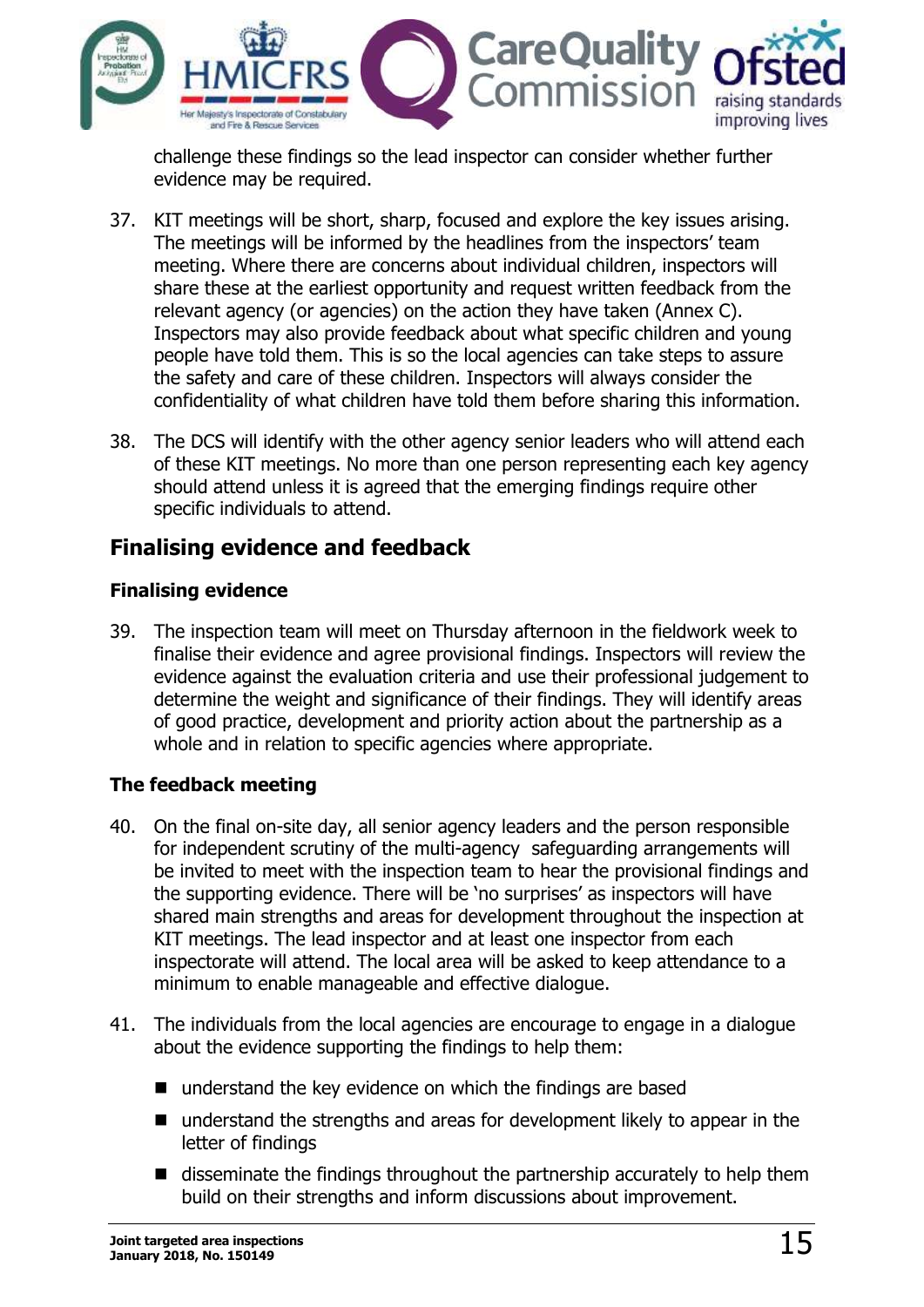

challenge these findings so the lead inspector can consider whether further evidence may be required.

- 37. KIT meetings will be short, sharp, focused and explore the key issues arising. The meetings will be informed by the headlines from the inspectors' team meeting. Where there are concerns about individual children, inspectors will share these at the earliest opportunity and request written feedback from the relevant agency (or agencies) on the action they have taken (Annex C). Inspectors may also provide feedback about what specific children and young people have told them. This is so the local agencies can take steps to assure the safety and care of these children. Inspectors will always consider the confidentiality of what children have told them before sharing this information.
- 38. The DCS will identify with the other agency senior leaders who will attend each of these KIT meetings. No more than one person representing each key agency should attend unless it is agreed that the emerging findings require other specific individuals to attend.

### <span id="page-14-0"></span>**Finalising evidence and feedback**

#### **Finalising evidence**

39. The inspection team will meet on Thursday afternoon in the fieldwork week to finalise their evidence and agree provisional findings. Inspectors will review the evidence against the evaluation criteria and use their professional judgement to determine the weight and significance of their findings. They will identify areas of good practice, development and priority action about the partnership as a whole and in relation to specific agencies where appropriate.

#### **The feedback meeting**

- 40. On the final on-site day, all senior agency leaders and the person responsible for independent scrutiny of the multi-agency safeguarding arrangements will be invited to meet with the inspection team to hear the provisional findings and the supporting evidence. There will be 'no surprises' as inspectors will have shared main strengths and areas for development throughout the inspection at KIT meetings. The lead inspector and at least one inspector from each inspectorate will attend. The local area will be asked to keep attendance to a minimum to enable manageable and effective dialogue.
- 41. The individuals from the local agencies are encourage to engage in a dialogue about the evidence supporting the findings to help them:
	- understand the key evidence on which the findings are based
	- understand the strengths and areas for development likely to appear in the letter of findings
	- disseminate the findings throughout the partnership accurately to help them build on their strengths and inform discussions about improvement.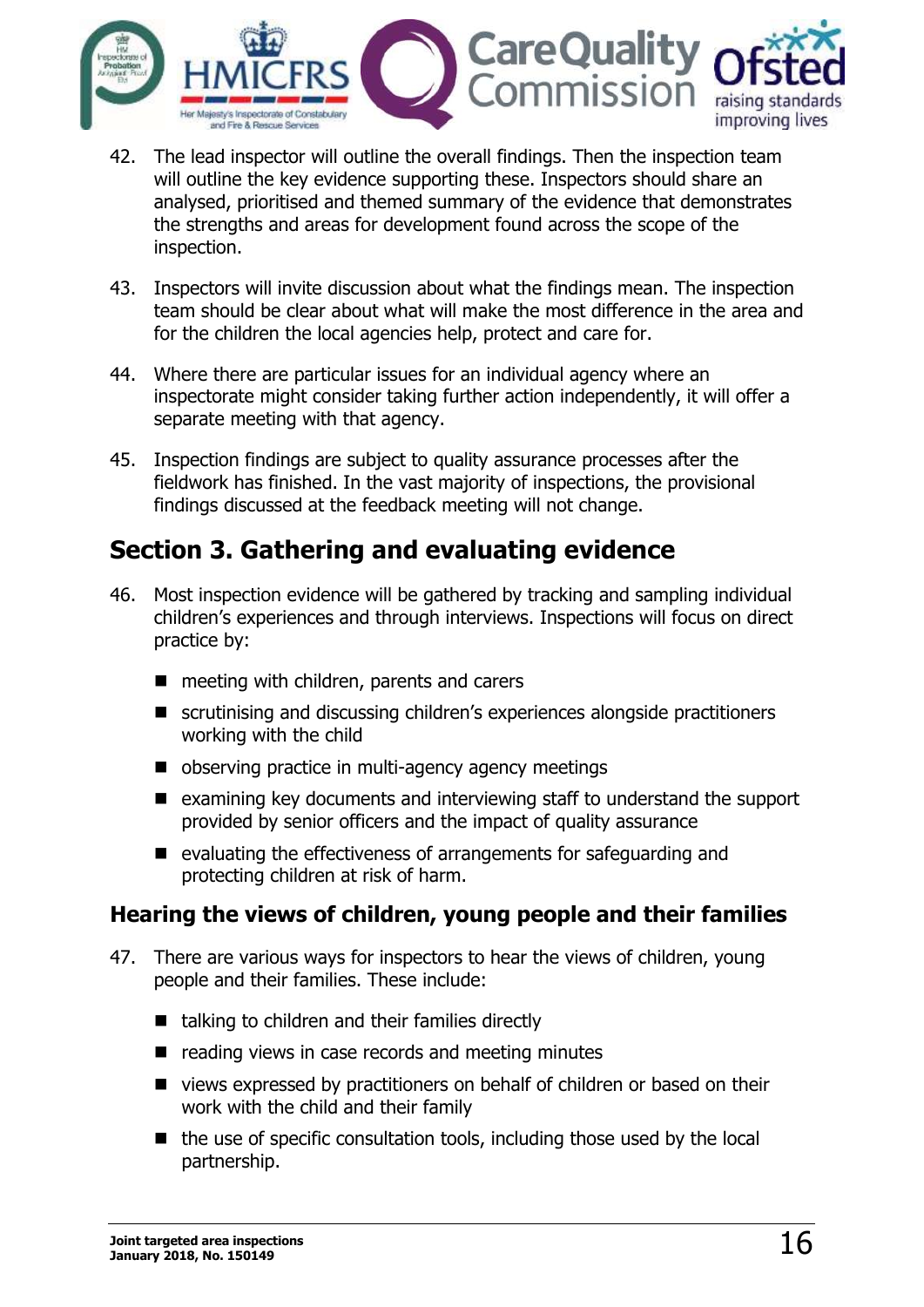

- 42. The lead inspector will outline the overall findings. Then the inspection team will outline the key evidence supporting these. Inspectors should share an analysed, prioritised and themed summary of the evidence that demonstrates the strengths and areas for development found across the scope of the inspection.
- 43. Inspectors will invite discussion about what the findings mean. The inspection team should be clear about what will make the most difference in the area and for the children the local agencies help, protect and care for.
- 44. Where there are particular issues for an individual agency where an inspectorate might consider taking further action independently, it will offer a separate meeting with that agency.
- 45. Inspection findings are subject to quality assurance processes after the fieldwork has finished. In the vast majority of inspections, the provisional findings discussed at the feedback meeting will not change.

# <span id="page-15-0"></span>**Section 3. Gathering and evaluating evidence**

- 46. Most inspection evidence will be gathered by tracking and sampling individual children's experiences and through interviews. Inspections will focus on direct practice by:
	- $\blacksquare$  meeting with children, parents and carers
	- scrutinising and discussing children's experiences alongside practitioners working with the child
	- observing practice in multi-agency agency meetings
	- $\blacksquare$  examining key documents and interviewing staff to understand the support provided by senior officers and the impact of quality assurance
	- $\blacksquare$  evaluating the effectiveness of arrangements for safeguarding and protecting children at risk of harm.

### <span id="page-15-1"></span>**Hearing the views of children, young people and their families**

- 47. There are various ways for inspectors to hear the views of children, young people and their families. These include:
	- $\blacksquare$  talking to children and their families directly
	- $\blacksquare$  reading views in case records and meeting minutes
	- views expressed by practitioners on behalf of children or based on their work with the child and their family
	- $\blacksquare$  the use of specific consultation tools, including those used by the local partnership.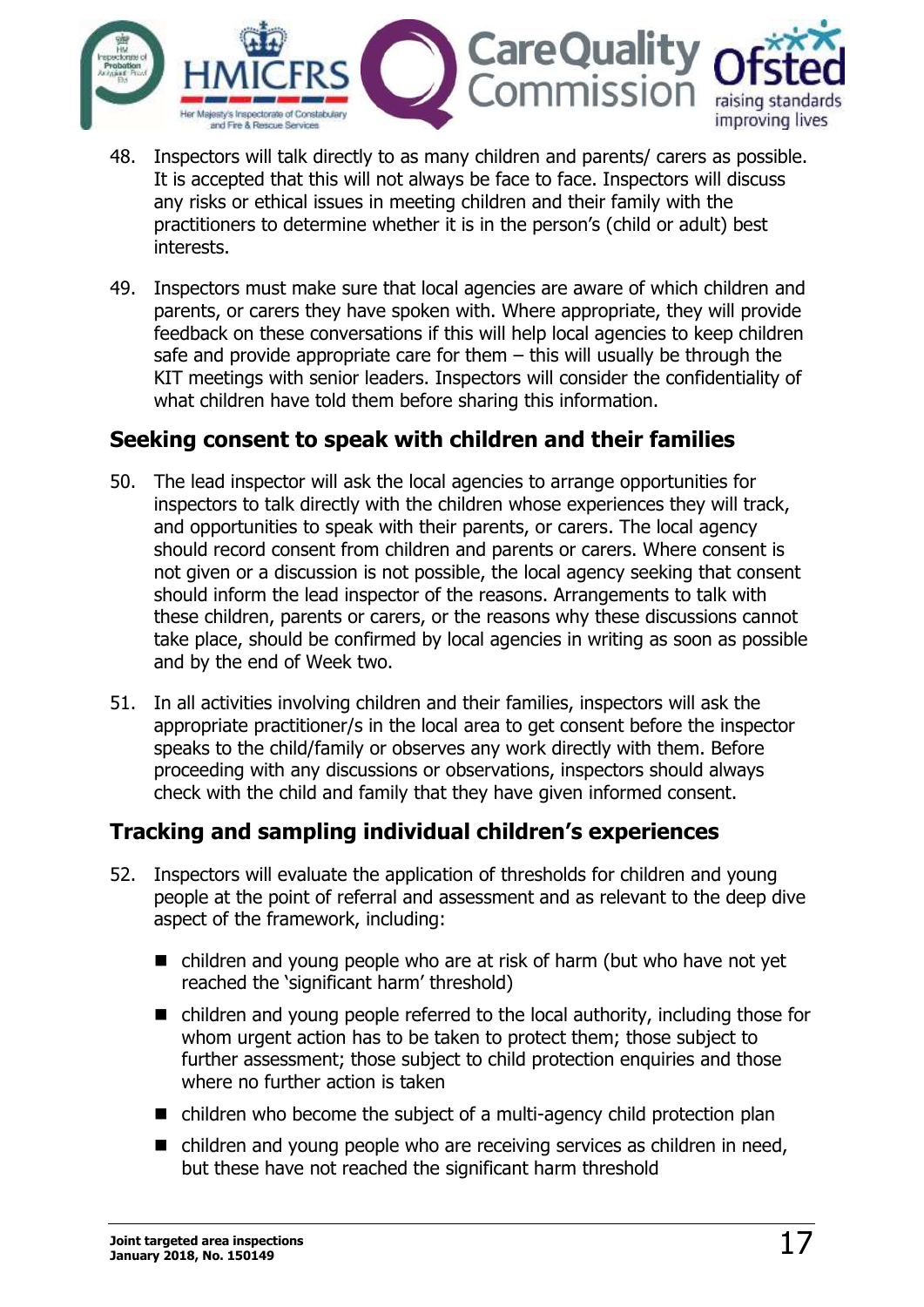

- 48. Inspectors will talk directly to as many children and parents/ carers as possible. It is accepted that this will not always be face to face. Inspectors will discuss any risks or ethical issues in meeting children and their family with the practitioners to determine whether it is in the person's (child or adult) best interests.
- 49. Inspectors must make sure that local agencies are aware of which children and parents, or carers they have spoken with. Where appropriate, they will provide feedback on these conversations if this will help local agencies to keep children safe and provide appropriate care for them – this will usually be through the KIT meetings with senior leaders. Inspectors will consider the confidentiality of what children have told them before sharing this information.

### <span id="page-16-0"></span>**Seeking consent to speak with children and their families**

- 50. The lead inspector will ask the local agencies to arrange opportunities for inspectors to talk directly with the children whose experiences they will track, and opportunities to speak with their parents, or carers. The local agency should record consent from children and parents or carers. Where consent is not given or a discussion is not possible, the local agency seeking that consent should inform the lead inspector of the reasons. Arrangements to talk with these children, parents or carers, or the reasons why these discussions cannot take place, should be confirmed by local agencies in writing as soon as possible and by the end of Week two.
- 51. In all activities involving children and their families, inspectors will ask the appropriate practitioner/s in the local area to get consent before the inspector speaks to the child/family or observes any work directly with them. Before proceeding with any discussions or observations, inspectors should always check with the child and family that they have given informed consent.

# <span id="page-16-1"></span>**Tracking and sampling individual children's experiences**

- 52. Inspectors will evaluate the application of thresholds for children and young people at the point of referral and assessment and as relevant to the deep dive aspect of the framework, including:
	- children and young people who are at risk of harm (but who have not yet reached the 'significant harm' threshold)
	- children and young people referred to the local authority, including those for whom urgent action has to be taken to protect them; those subject to further assessment; those subject to child protection enquiries and those where no further action is taken
	- $\blacksquare$  children who become the subject of a multi-agency child protection plan
	- $\blacksquare$  children and young people who are receiving services as children in need, but these have not reached the significant harm threshold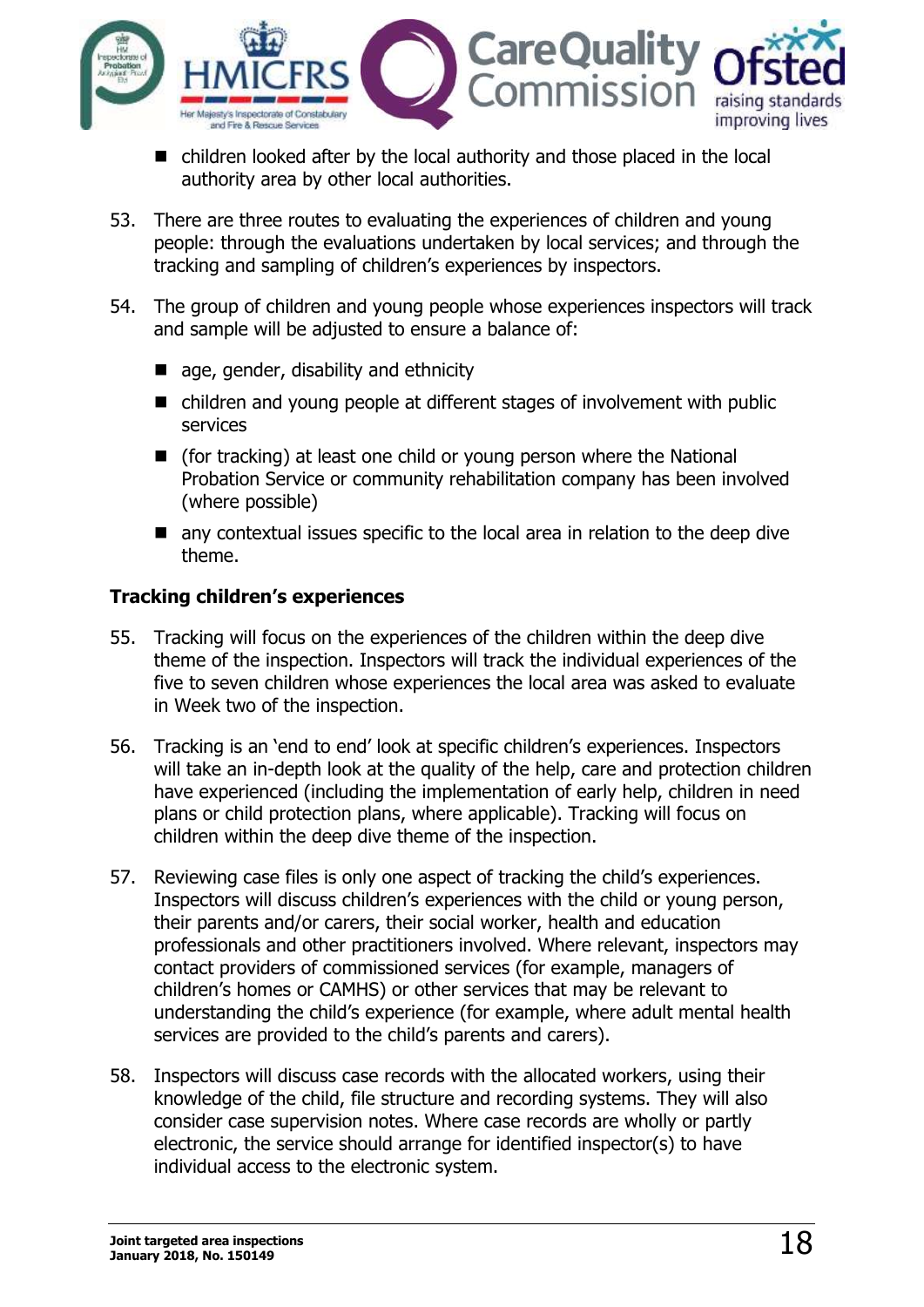

- children looked after by the local authority and those placed in the local authority area by other local authorities.
- 53. There are three routes to evaluating the experiences of children and young people: through the evaluations undertaken by local services; and through the tracking and sampling of children's experiences by inspectors.
- 54. The group of children and young people whose experiences inspectors will track and sample will be adjusted to ensure a balance of:
	- age, gender, disability and ethnicity
	- children and young people at different stages of involvement with public services
	- (for tracking) at least one child or young person where the National Probation Service or community rehabilitation company has been involved (where possible)
	- **n** any contextual issues specific to the local area in relation to the deep dive theme.

#### **Tracking children's experiences**

- 55. Tracking will focus on the experiences of the children within the deep dive theme of the inspection. Inspectors will track the individual experiences of the five to seven children whose experiences the local area was asked to evaluate in Week two of the inspection.
- 56. Tracking is an 'end to end' look at specific children's experiences. Inspectors will take an in-depth look at the quality of the help, care and protection children have experienced (including the implementation of early help, children in need plans or child protection plans, where applicable). Tracking will focus on children within the deep dive theme of the inspection.
- 57. Reviewing case files is only one aspect of tracking the child's experiences. Inspectors will discuss children's experiences with the child or young person, their parents and/or carers, their social worker, health and education professionals and other practitioners involved. Where relevant, inspectors may contact providers of commissioned services (for example, managers of children's homes or CAMHS) or other services that may be relevant to understanding the child's experience (for example, where adult mental health services are provided to the child's parents and carers).
- 58. Inspectors will discuss case records with the allocated workers, using their knowledge of the child, file structure and recording systems. They will also consider case supervision notes. Where case records are wholly or partly electronic, the service should arrange for identified inspector(s) to have individual access to the electronic system.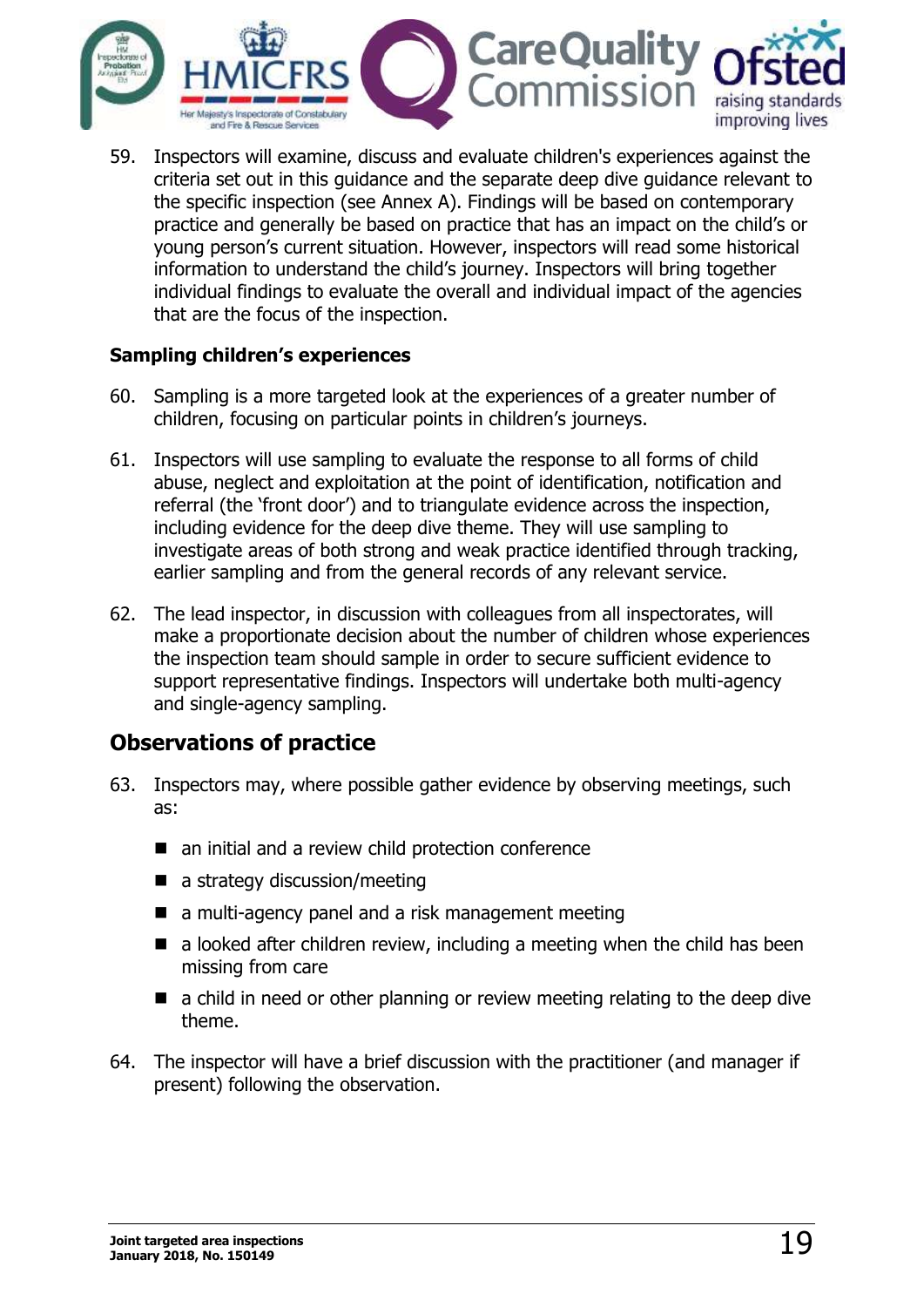

59. Inspectors will examine, discuss and evaluate children's experiences against the criteria set out in this guidance and the separate deep dive guidance relevant to the specific inspection (see Annex A). Findings will be based on contemporary practice and generally be based on practice that has an impact on the child's or young person's current situation. However, inspectors will read some historical information to understand the child's journey. Inspectors will bring together individual findings to evaluate the overall and individual impact of the agencies that are the focus of the inspection.

#### **Sampling children's experiences**

- 60. Sampling is a more targeted look at the experiences of a greater number of children, focusing on particular points in children's journeys.
- 61. Inspectors will use sampling to evaluate the response to all forms of child abuse, neglect and exploitation at the point of identification, notification and referral (the 'front door') and to triangulate evidence across the inspection, including evidence for the deep dive theme. They will use sampling to investigate areas of both strong and weak practice identified through tracking, earlier sampling and from the general records of any relevant service.
- 62. The lead inspector, in discussion with colleagues from all inspectorates, will make a proportionate decision about the number of children whose experiences the inspection team should sample in order to secure sufficient evidence to support representative findings. Inspectors will undertake both multi-agency and single-agency sampling.

### <span id="page-18-0"></span>**Observations of practice**

- 63. Inspectors may, where possible gather evidence by observing meetings, such as:
	- an initial and a review child protection conference
	- $\blacksquare$  a strategy discussion/meeting
	- a multi-agency panel and a risk management meeting
	- $\blacksquare$  a looked after children review, including a meeting when the child has been missing from care
	- **E** a child in need or other planning or review meeting relating to the deep dive theme.
- 64. The inspector will have a brief discussion with the practitioner (and manager if present) following the observation.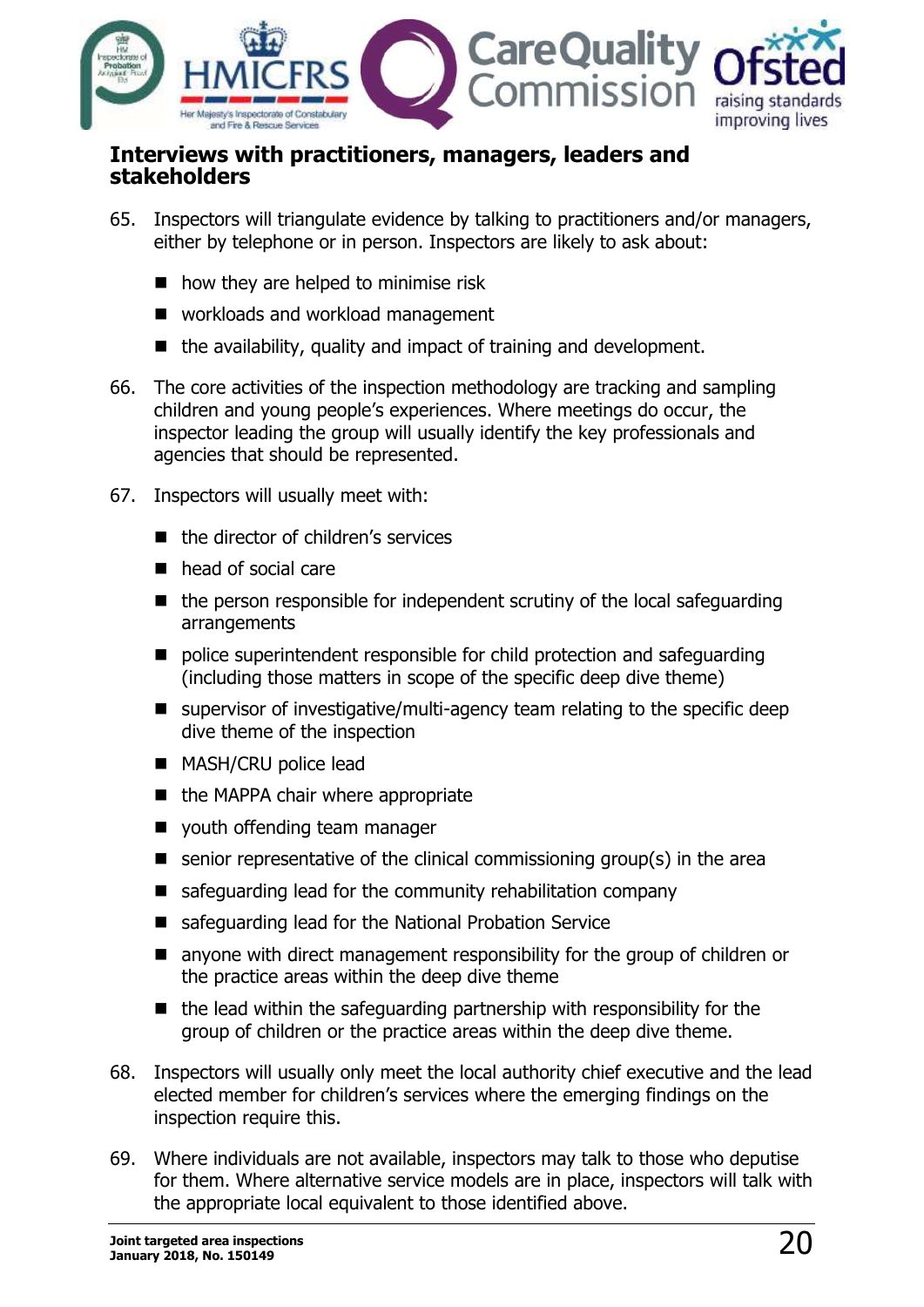

#### <span id="page-19-0"></span>**Interviews with practitioners, managers, leaders and stakeholders**

- 65. Inspectors will triangulate evidence by talking to practitioners and/or managers, either by telephone or in person. Inspectors are likely to ask about:
	- $\blacksquare$  how they are helped to minimise risk
	- workloads and workload management
	- $\blacksquare$  the availability, quality and impact of training and development.
- 66. The core activities of the inspection methodology are tracking and sampling children and young people's experiences. Where meetings do occur, the inspector leading the group will usually identify the key professionals and agencies that should be represented.
- 67. Inspectors will usually meet with:
	- the director of children's services
	- head of social care
	- $\blacksquare$  the person responsible for independent scrutiny of the local safeguarding arrangements
	- $\blacksquare$  police superintendent responsible for child protection and safeguarding (including those matters in scope of the specific deep dive theme)
	- supervisor of investigative/multi-agency team relating to the specific deep dive theme of the inspection
	- **MASH/CRU police lead**
	- the MAPPA chair where appropriate
	- vouth offending team manager
	- $\blacksquare$  senior representative of the clinical commissioning group(s) in the area
	- $\blacksquare$  safeguarding lead for the community rehabilitation company
	- safeguarding lead for the National Probation Service
	- anyone with direct management responsibility for the group of children or the practice areas within the deep dive theme
	- $\blacksquare$  the lead within the safeguarding partnership with responsibility for the group of children or the practice areas within the deep dive theme.
- 68. Inspectors will usually only meet the local authority chief executive and the lead elected member for children's services where the emerging findings on the inspection require this.
- 69. Where individuals are not available, inspectors may talk to those who deputise for them. Where alternative service models are in place, inspectors will talk with the appropriate local equivalent to those identified above.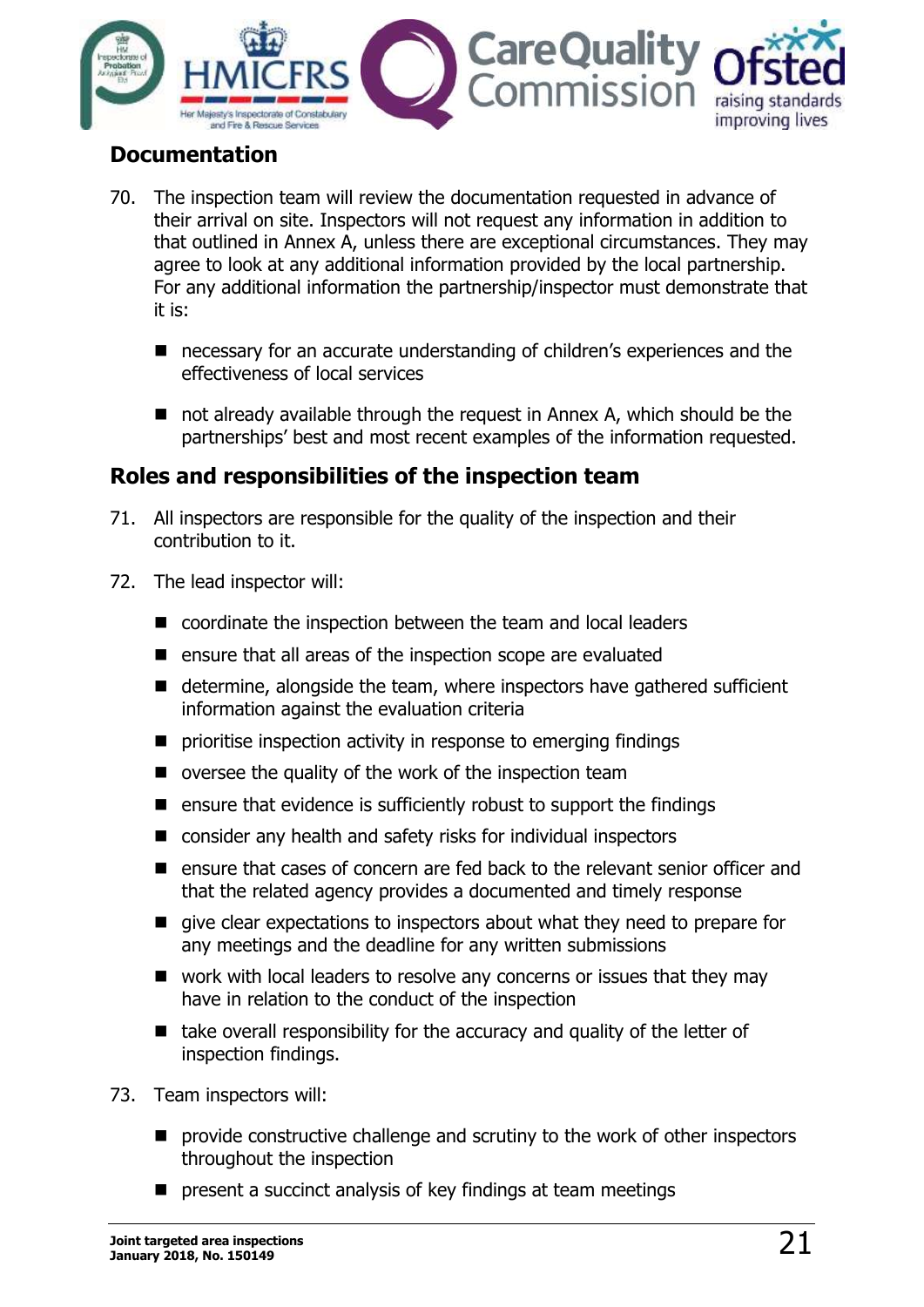

### <span id="page-20-0"></span>**Documentation**

- 70. The inspection team will review the documentation requested in advance of their arrival on site. Inspectors will not request any information in addition to that outlined in Annex A, unless there are exceptional circumstances. They may agree to look at any additional information provided by the local partnership. For any additional information the partnership/inspector must demonstrate that it is:
	- necessary for an accurate understanding of children's experiences and the effectiveness of local services
	- not already available through the request in Annex A, which should be the partnerships' best and most recent examples of the information requested.

# <span id="page-20-1"></span>**Roles and responsibilities of the inspection team**

- 71. All inspectors are responsible for the quality of the inspection and their contribution to it.
- 72. The lead inspector will:
	- coordinate the inspection between the team and local leaders
	- $\blacksquare$  ensure that all areas of the inspection scope are evaluated
	- $\blacksquare$  determine, alongside the team, where inspectors have gathered sufficient information against the evaluation criteria
	- $\blacksquare$  prioritise inspection activity in response to emerging findings
	- $\blacksquare$  oversee the quality of the work of the inspection team
	- $\blacksquare$  ensure that evidence is sufficiently robust to support the findings
	- consider any health and safety risks for individual inspectors
	- ensure that cases of concern are fed back to the relevant senior officer and that the related agency provides a documented and timely response
	- give clear expectations to inspectors about what they need to prepare for any meetings and the deadline for any written submissions
	- work with local leaders to resolve any concerns or issues that they may have in relation to the conduct of the inspection
	- $\blacksquare$  take overall responsibility for the accuracy and quality of the letter of inspection findings.
- 73. Team inspectors will:
	- **P** provide constructive challenge and scrutiny to the work of other inspectors throughout the inspection
	- **P** present a succinct analysis of key findings at team meetings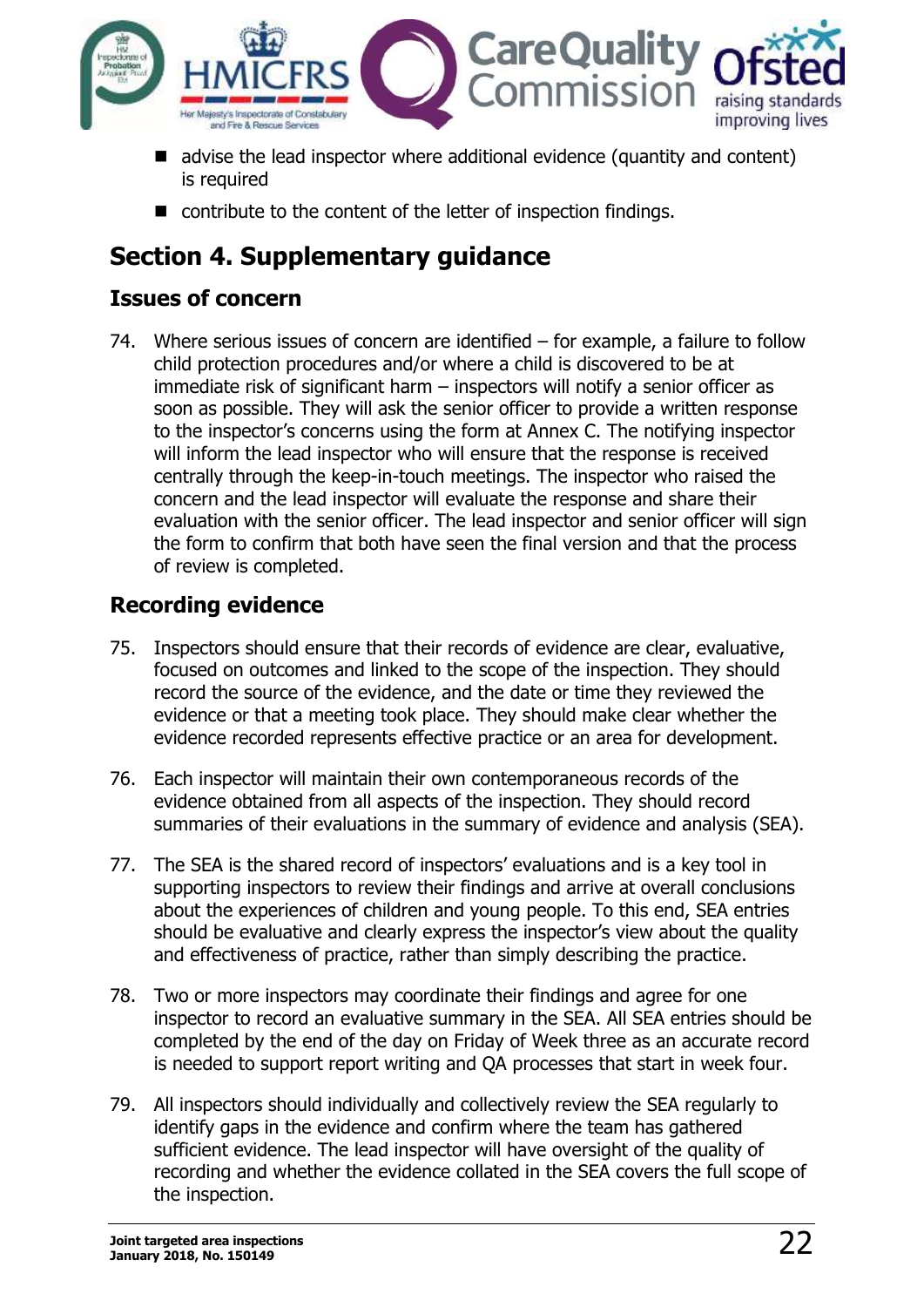

- advise the lead inspector where additional evidence (quantity and content) is required
- contribute to the content of the letter of inspection findings.

# <span id="page-21-0"></span>**Section 4. Supplementary guidance**

# <span id="page-21-1"></span>**Issues of concern**

74. Where serious issues of concern are identified – for example, a failure to follow child protection procedures and/or where a child is discovered to be at immediate risk of significant harm – inspectors will notify a senior officer as soon as possible. They will ask the senior officer to provide a written response to the inspector's concerns using the form at Annex C. The notifying inspector will inform the lead inspector who will ensure that the response is received centrally through the keep-in-touch meetings. The inspector who raised the concern and the lead inspector will evaluate the response and share their evaluation with the senior officer. The lead inspector and senior officer will sign the form to confirm that both have seen the final version and that the process of review is completed.

# <span id="page-21-2"></span>**Recording evidence**

- 75. Inspectors should ensure that their records of evidence are clear, evaluative, focused on outcomes and linked to the scope of the inspection. They should record the source of the evidence, and the date or time they reviewed the evidence or that a meeting took place. They should make clear whether the evidence recorded represents effective practice or an area for development.
- 76. Each inspector will maintain their own contemporaneous records of the evidence obtained from all aspects of the inspection. They should record summaries of their evaluations in the summary of evidence and analysis (SEA).
- 77. The SEA is the shared record of inspectors' evaluations and is a key tool in supporting inspectors to review their findings and arrive at overall conclusions about the experiences of children and young people. To this end, SEA entries should be evaluative and clearly express the inspector's view about the quality and effectiveness of practice, rather than simply describing the practice.
- 78. Two or more inspectors may coordinate their findings and agree for one inspector to record an evaluative summary in the SEA. All SEA entries should be completed by the end of the day on Friday of Week three as an accurate record is needed to support report writing and QA processes that start in week four.
- 79. All inspectors should individually and collectively review the SEA regularly to identify gaps in the evidence and confirm where the team has gathered sufficient evidence. The lead inspector will have oversight of the quality of recording and whether the evidence collated in the SEA covers the full scope of the inspection.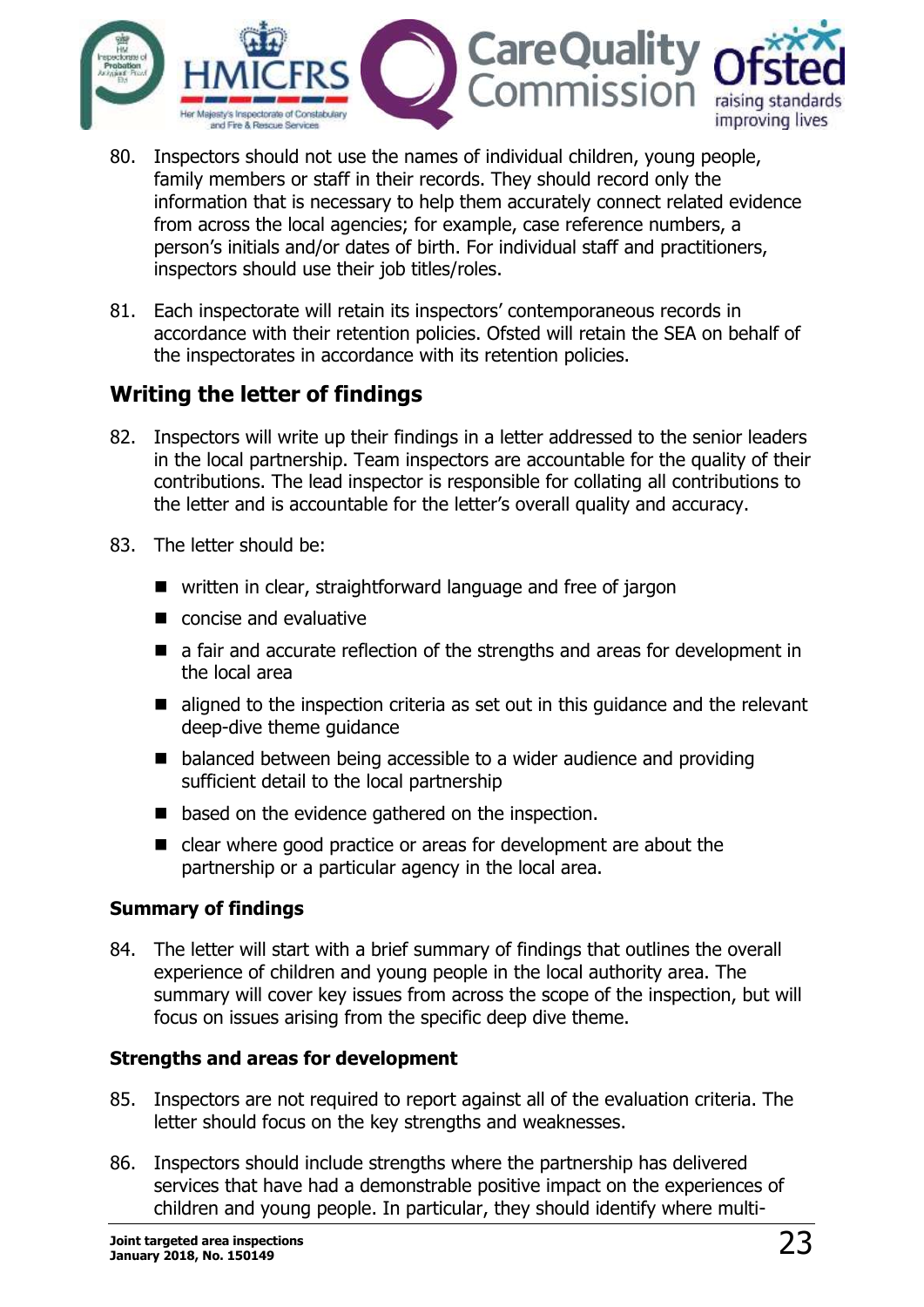

- 80. Inspectors should not use the names of individual children, young people, family members or staff in their records. They should record only the information that is necessary to help them accurately connect related evidence from across the local agencies; for example, case reference numbers, a person's initials and/or dates of birth. For individual staff and practitioners, inspectors should use their job titles/roles.
- 81. Each inspectorate will retain its inspectors' contemporaneous records in accordance with their retention policies. Ofsted will retain the SEA on behalf of the inspectorates in accordance with its retention policies.

### <span id="page-22-0"></span>**Writing the letter of findings**

- 82. Inspectors will write up their findings in a letter addressed to the senior leaders in the local partnership. Team inspectors are accountable for the quality of their contributions. The lead inspector is responsible for collating all contributions to the letter and is accountable for the letter's overall quality and accuracy.
- 83. The letter should be:
	- written in clear, straightforward language and free of jargon
	- concise and evaluative
	- a fair and accurate reflection of the strengths and areas for development in the local area
	- $\blacksquare$  aligned to the inspection criteria as set out in this guidance and the relevant deep-dive theme guidance
	- balanced between being accessible to a wider audience and providing sufficient detail to the local partnership
	- based on the evidence gathered on the inspection.
	- clear where good practice or areas for development are about the partnership or a particular agency in the local area.

#### **Summary of findings**

84. The letter will start with a brief summary of findings that outlines the overall experience of children and young people in the local authority area. The summary will cover key issues from across the scope of the inspection, but will focus on issues arising from the specific deep dive theme.

#### **Strengths and areas for development**

- 85. Inspectors are not required to report against all of the evaluation criteria. The letter should focus on the key strengths and weaknesses.
- 86. Inspectors should include strengths where the partnership has delivered services that have had a demonstrable positive impact on the experiences of children and young people. In particular, they should identify where multi-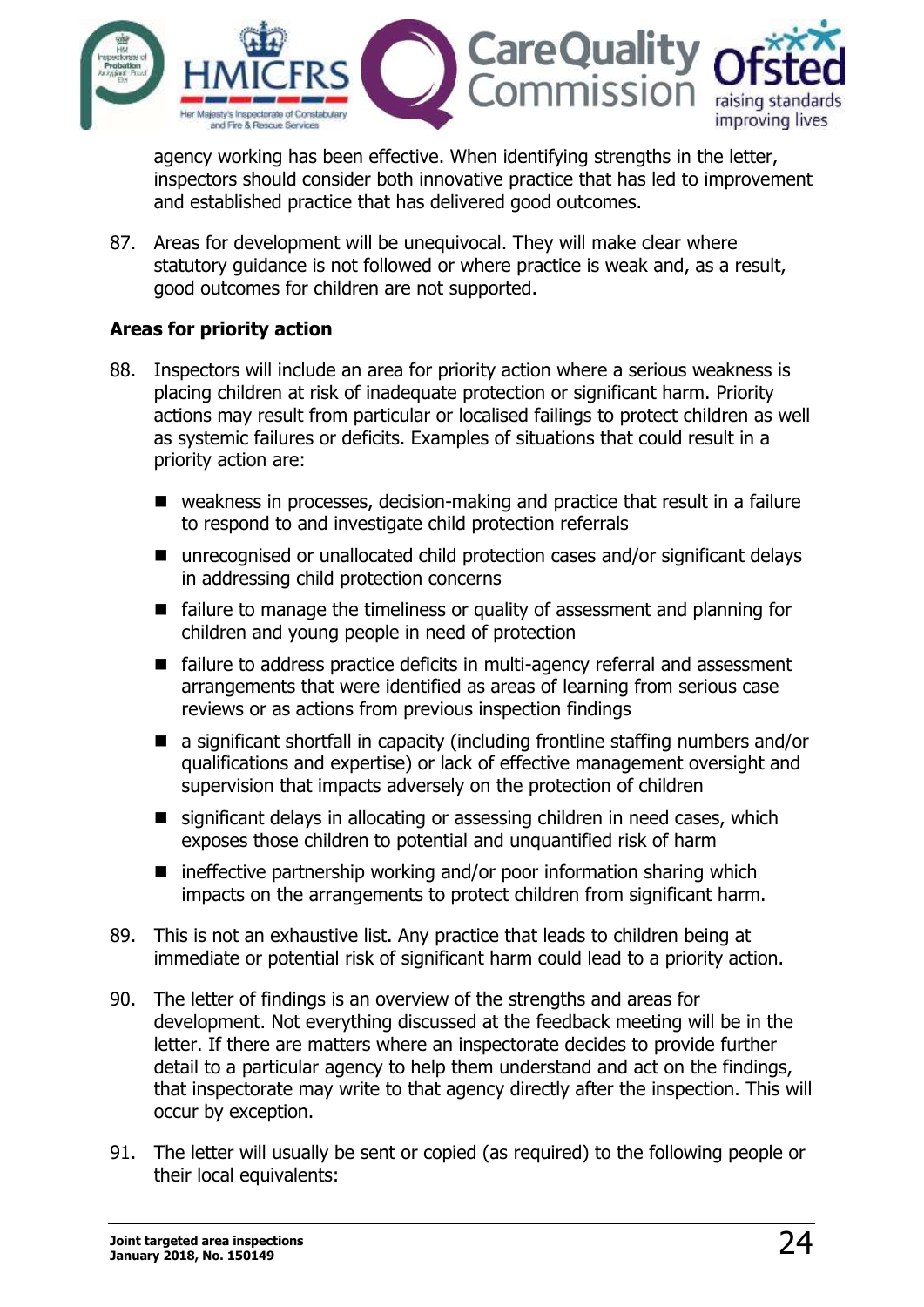

agency working has been effective. When identifying strengths in the letter, inspectors should consider both innovative practice that has led to improvement and established practice that has delivered good outcomes.

87. Areas for development will be unequivocal. They will make clear where statutory guidance is not followed or where practice is weak and, as a result, good outcomes for children are not supported.

#### **Areas for priority action**

- 88. Inspectors will include an area for priority action where a serious weakness is placing children at risk of inadequate protection or significant harm. Priority actions may result from particular or localised failings to protect children as well as systemic failures or deficits. Examples of situations that could result in a priority action are:
	- weakness in processes, decision-making and practice that result in a failure to respond to and investigate child protection referrals
	- unrecognised or unallocated child protection cases and/or significant delays in addressing child protection concerns
	- failure to manage the timeliness or quality of assessment and planning for children and young people in need of protection
	- failure to address practice deficits in multi-agency referral and assessment arrangements that were identified as areas of learning from serious case reviews or as actions from previous inspection findings
	- a significant shortfall in capacity (including frontline staffing numbers and/or qualifications and expertise) or lack of effective management oversight and supervision that impacts adversely on the protection of children
	- significant delays in allocating or assessing children in need cases, which exposes those children to potential and unquantified risk of harm
	- $\blacksquare$  ineffective partnership working and/or poor information sharing which impacts on the arrangements to protect children from significant harm.
- 89. This is not an exhaustive list. Any practice that leads to children being at immediate or potential risk of significant harm could lead to a priority action.
- 90. The letter of findings is an overview of the strengths and areas for development. Not everything discussed at the feedback meeting will be in the letter. If there are matters where an inspectorate decides to provide further detail to a particular agency to help them understand and act on the findings, that inspectorate may write to that agency directly after the inspection. This will occur by exception.
- 91. The letter will usually be sent or copied (as required) to the following people or their local equivalents: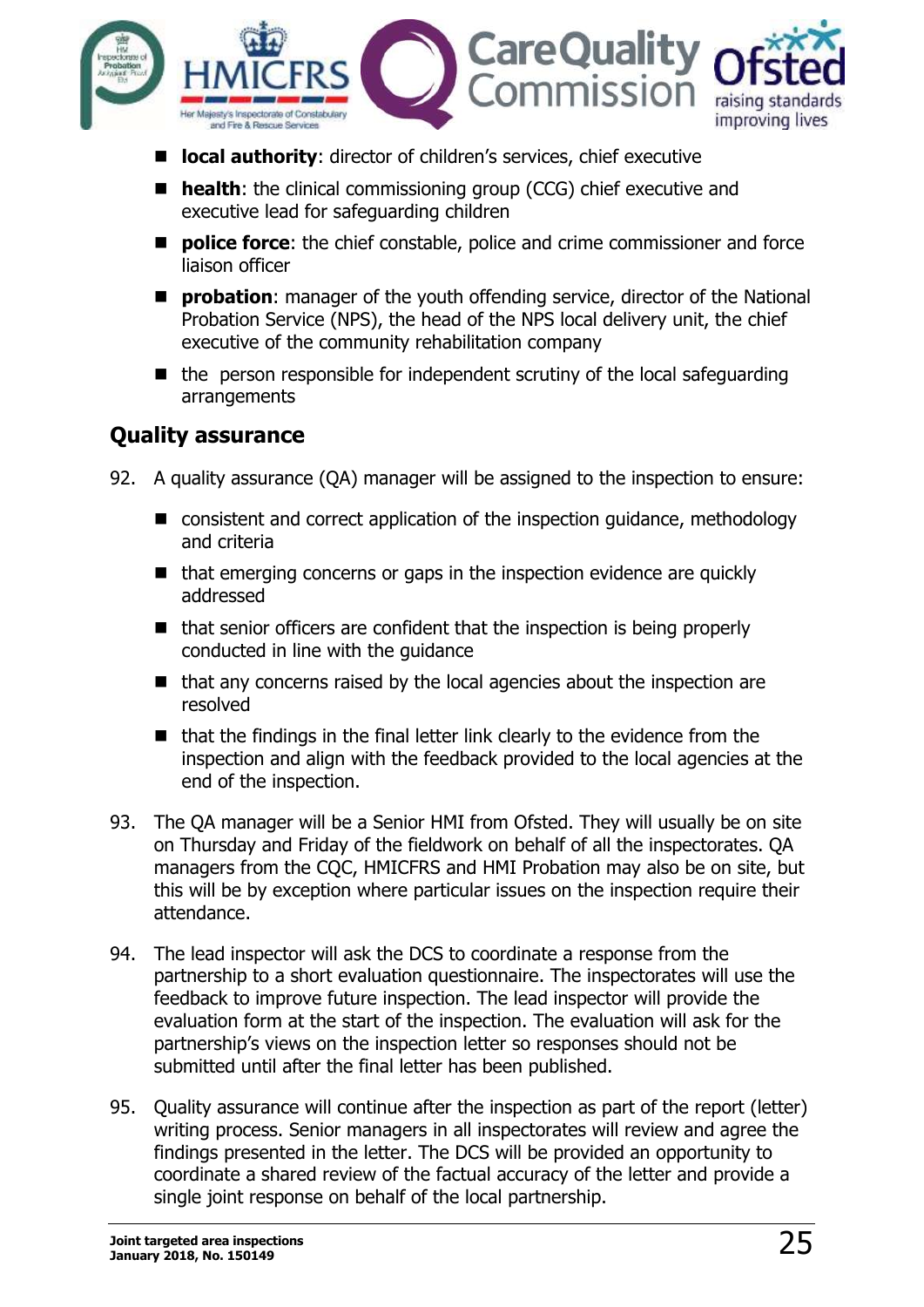

- **lacal authority:** director of children's services, chief executive
- **health:** the clinical commissioning group (CCG) chief executive and executive lead for safeguarding children
- **Police force:** the chief constable, police and crime commissioner and force liaison officer
- **Probation:** manager of the youth offending service, director of the National Probation Service (NPS), the head of the NPS local delivery unit, the chief executive of the community rehabilitation company
- $\blacksquare$  the person responsible for independent scrutiny of the local safeguarding arrangements

### <span id="page-24-0"></span>**Quality assurance**

- 92. A quality assurance (QA) manager will be assigned to the inspection to ensure:
	- consistent and correct application of the inspection quidance, methodology and criteria
	- $\blacksquare$  that emerging concerns or gaps in the inspection evidence are quickly addressed
	- $\blacksquare$  that senior officers are confident that the inspection is being properly conducted in line with the guidance
	- $\blacksquare$  that any concerns raised by the local agencies about the inspection are resolved
	- $\blacksquare$  that the findings in the final letter link clearly to the evidence from the inspection and align with the feedback provided to the local agencies at the end of the inspection.
- 93. The QA manager will be a Senior HMI from Ofsted. They will usually be on site on Thursday and Friday of the fieldwork on behalf of all the inspectorates. QA managers from the CQC, HMICFRS and HMI Probation may also be on site, but this will be by exception where particular issues on the inspection require their attendance.
- 94. The lead inspector will ask the DCS to coordinate a response from the partnership to a short evaluation questionnaire. The inspectorates will use the feedback to improve future inspection. The lead inspector will provide the evaluation form at the start of the inspection. The evaluation will ask for the partnership's views on the inspection letter so responses should not be submitted until after the final letter has been published.
- 95. Quality assurance will continue after the inspection as part of the report (letter) writing process. Senior managers in all inspectorates will review and agree the findings presented in the letter. The DCS will be provided an opportunity to coordinate a shared review of the factual accuracy of the letter and provide a single joint response on behalf of the local partnership.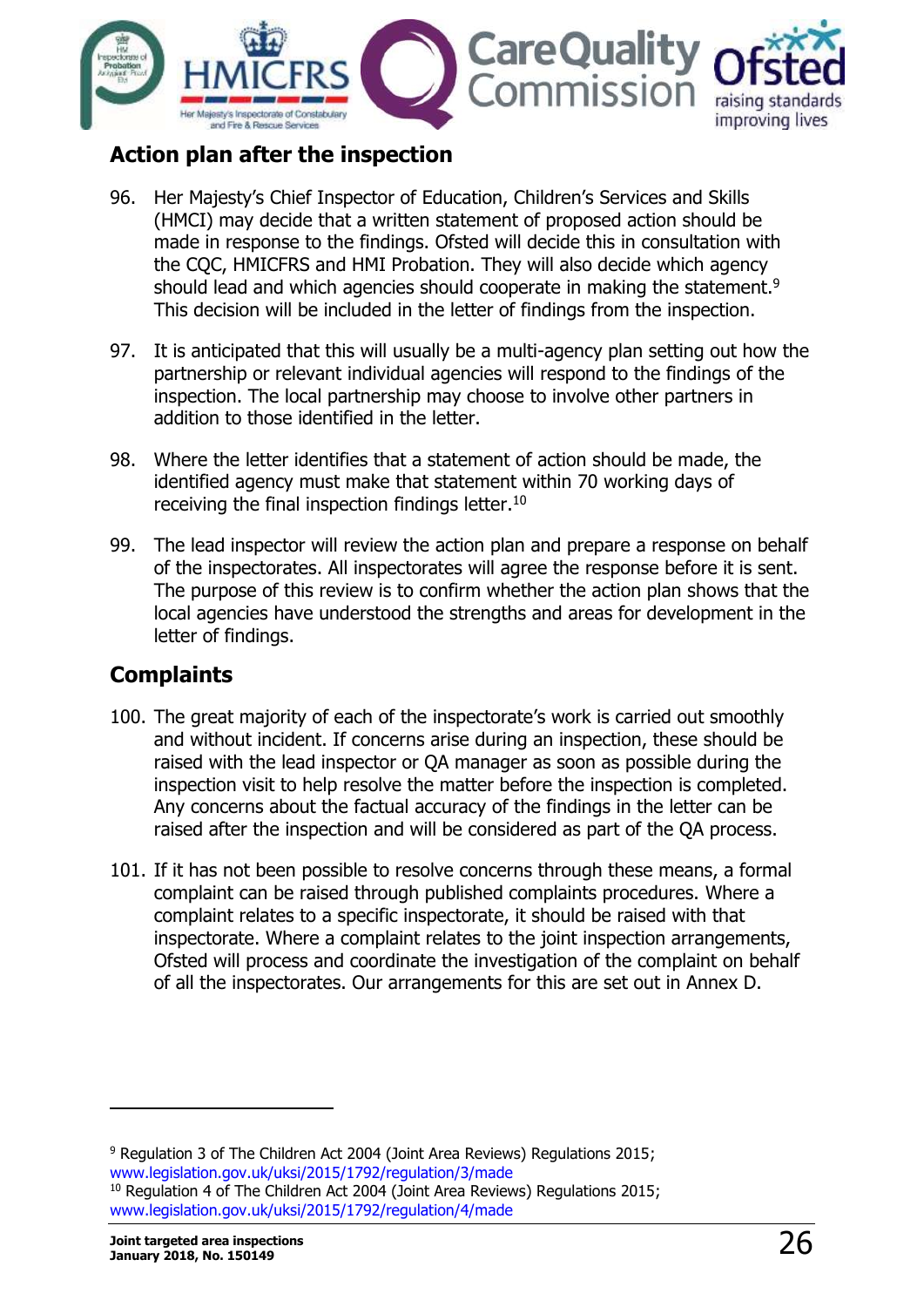

### <span id="page-25-0"></span>**Action plan after the inspection**

- 96. Her Majesty's Chief Inspector of Education, Children's Services and Skills (HMCI) may decide that a written statement of proposed action should be made in response to the findings. Ofsted will decide this in consultation with the CQC, HMICFRS and HMI Probation. They will also decide which agency should lead and which agencies should cooperate in making the statement.<sup>9</sup> This decision will be included in the letter of findings from the inspection.
- 97. It is anticipated that this will usually be a multi-agency plan setting out how the partnership or relevant individual agencies will respond to the findings of the inspection. The local partnership may choose to involve other partners in addition to those identified in the letter.
- 98. Where the letter identifies that a statement of action should be made, the identified agency must make that statement within 70 working days of receiving the final inspection findings letter.<sup>10</sup>
- 99. The lead inspector will review the action plan and prepare a response on behalf of the inspectorates. All inspectorates will agree the response before it is sent. The purpose of this review is to confirm whether the action plan shows that the local agencies have understood the strengths and areas for development in the letter of findings.

# <span id="page-25-1"></span>**Complaints**

- 100. The great majority of each of the inspectorate's work is carried out smoothly and without incident. If concerns arise during an inspection, these should be raised with the lead inspector or QA manager as soon as possible during the inspection visit to help resolve the matter before the inspection is completed. Any concerns about the factual accuracy of the findings in the letter can be raised after the inspection and will be considered as part of the QA process.
- 101. If it has not been possible to resolve concerns through these means, a formal complaint can be raised through published complaints procedures. Where a complaint relates to a specific inspectorate, it should be raised with that inspectorate. Where a complaint relates to the joint inspection arrangements, Ofsted will process and coordinate the investigation of the complaint on behalf of all the inspectorates. Our arrangements for this are set out in Annex D.

-

<sup>&</sup>lt;sup>9</sup> Regulation 3 of The Children Act 2004 (Joint Area Reviews) Regulations 2015; [www.legislation.gov.uk/uksi/2015/1792/regulation/3/made](http://www.legislation.gov.uk/uksi/2015/1792/regulation/3/made) <sup>10</sup> Regulation 4 of The Children Act 2004 (Joint Area Reviews) Regulations 2015; [www.legislation.gov.uk/uksi/2015/1792/regulation/4/made](http://www.legislation.gov.uk/uksi/2015/1792/regulation/4/made)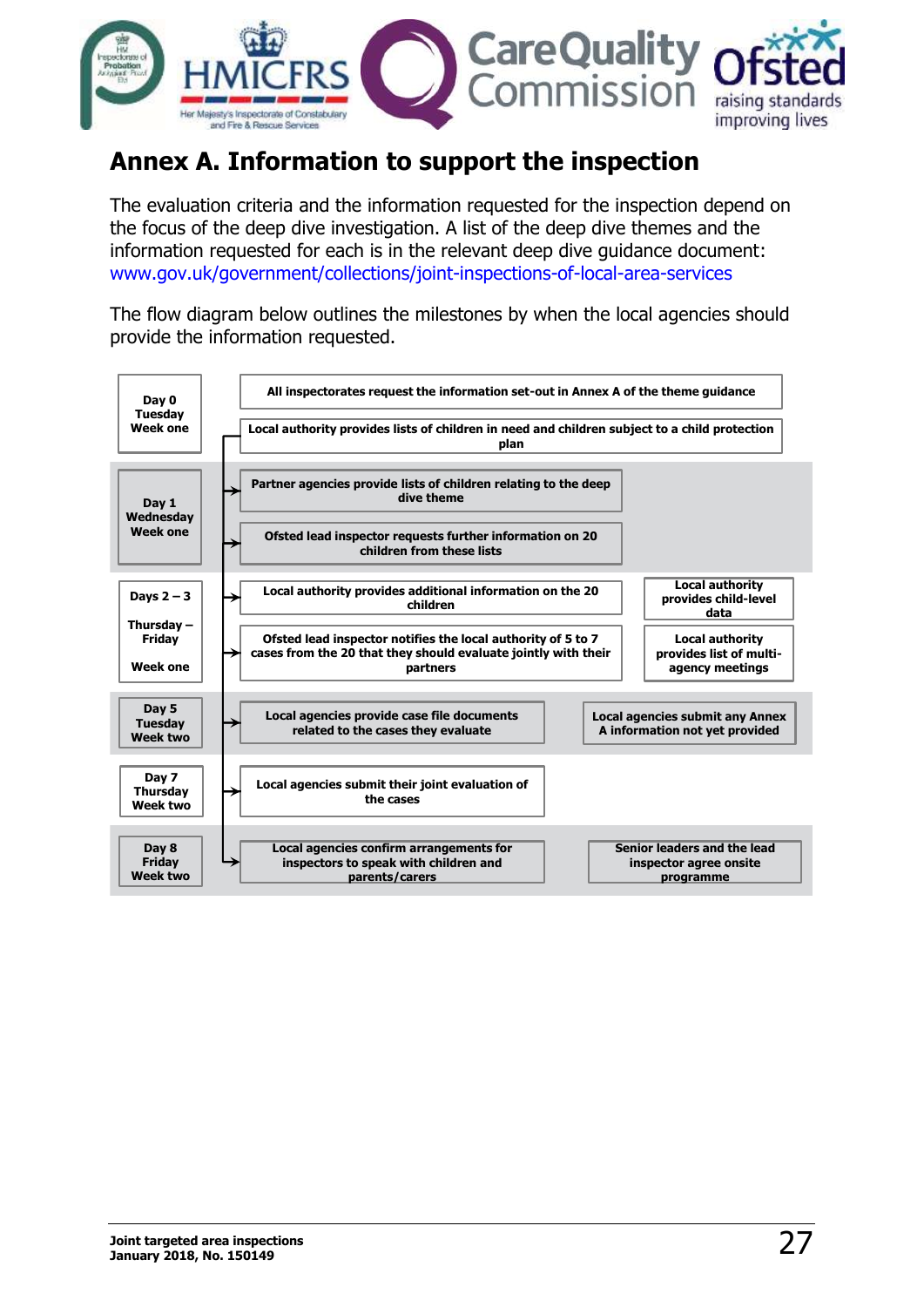

# <span id="page-26-0"></span>**Annex A. Information to support the inspection**

The evaluation criteria and the information requested for the inspection depend on the focus of the deep dive investigation. A list of the deep dive themes and the information requested for each is in the relevant deep dive guidance document: [www.gov.uk/government/collections/joint-inspections-of-local-area-services](http://www.gov.uk/government/collections/joint-inspections-of-local-area-services)

The flow diagram below outlines the milestones by when the local agencies should provide the information requested.

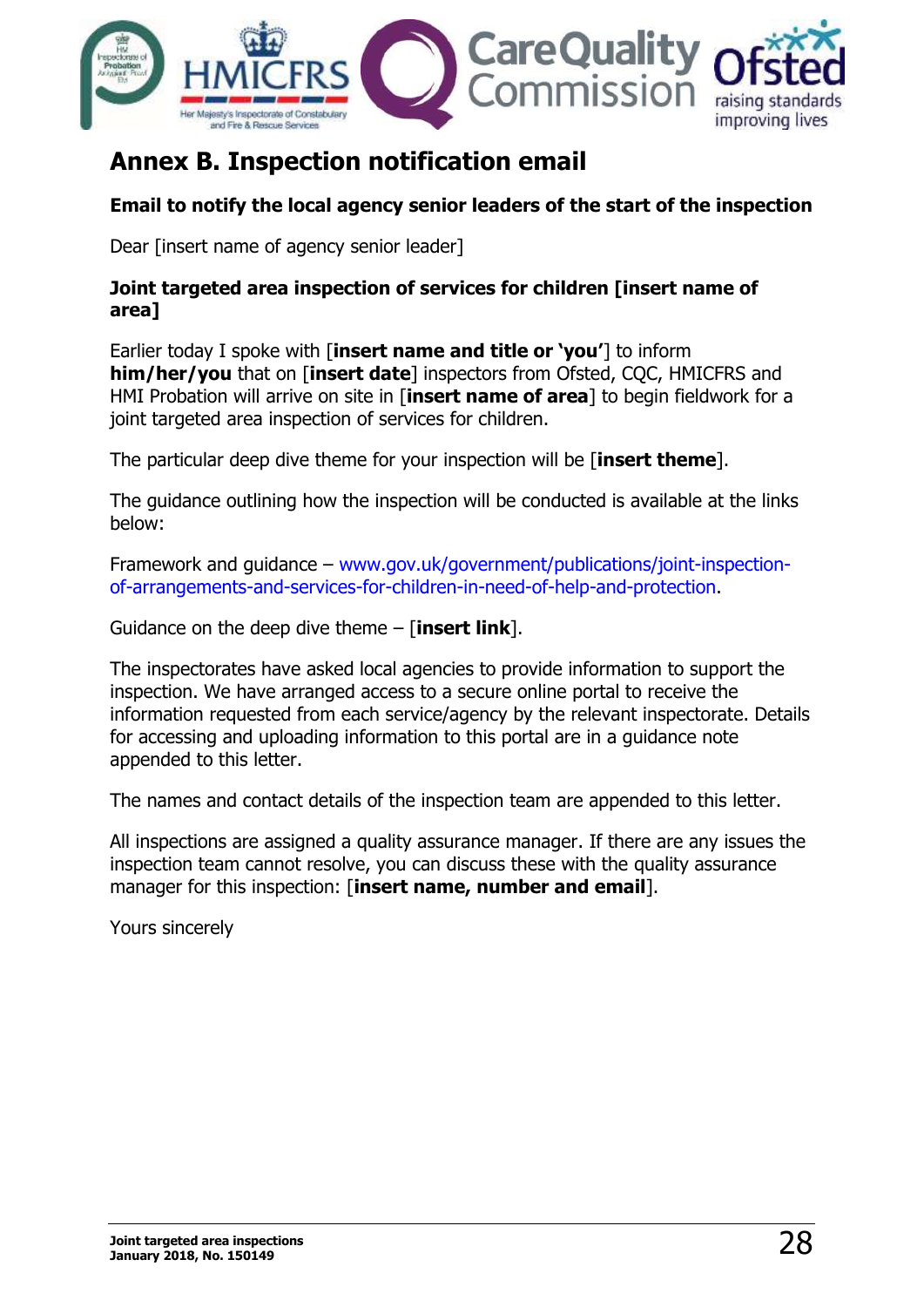

# <span id="page-27-0"></span>**Annex B. Inspection notification email**

#### **Email to notify the local agency senior leaders of the start of the inspection**

Dear [insert name of agency senior leader]

#### **Joint targeted area inspection of services for children [insert name of area]**

Earlier today I spoke with [**insert name and title or 'you'**] to inform **him/her/you** that on [**insert date**] inspectors from Ofsted, CQC, HMICFRS and HMI Probation will arrive on site in [**insert name of area**] to begin fieldwork for a joint targeted area inspection of services for children.

The particular deep dive theme for your inspection will be [**insert theme**].

The guidance outlining how the inspection will be conducted is available at the links below:

Framework and guidance – [www.gov.uk/government/publications/joint-inspection](http://www.gov.uk/government/publications/joint-inspection-of-arrangements-and-services-for-children-in-need-of-help-and-protection)[of-arrangements-and-services-for-children-in-need-of-help-and-protection.](http://www.gov.uk/government/publications/joint-inspection-of-arrangements-and-services-for-children-in-need-of-help-and-protection)

Guidance on the deep dive theme – [**insert link**].

The inspectorates have asked local agencies to provide information to support the inspection. We have arranged access to a secure online portal to receive the information requested from each service/agency by the relevant inspectorate. Details for accessing and uploading information to this portal are in a guidance note appended to this letter.

The names and contact details of the inspection team are appended to this letter.

All inspections are assigned a quality assurance manager. If there are any issues the inspection team cannot resolve, you can discuss these with the quality assurance manager for this inspection: [**insert name, number and email**].

Yours sincerely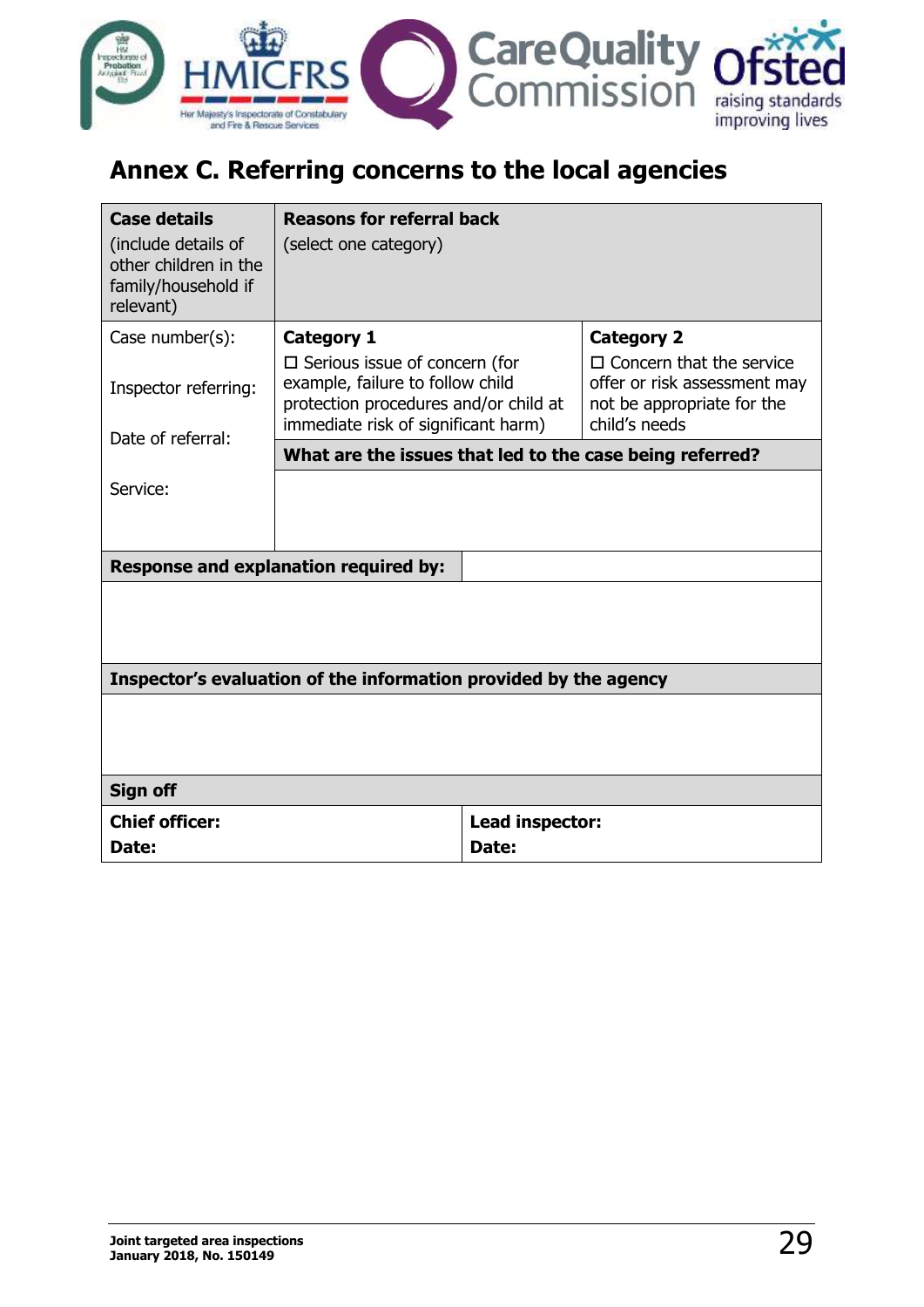

# <span id="page-28-0"></span>**Annex C. Referring concerns to the local agencies**

| <b>Case details</b><br>(include details of<br>other children in the<br>family/household if<br>relevant) | <b>Reasons for referral back</b><br>(select one category)                                                                                                                     |                          |                                                                                                                                     |
|---------------------------------------------------------------------------------------------------------|-------------------------------------------------------------------------------------------------------------------------------------------------------------------------------|--------------------------|-------------------------------------------------------------------------------------------------------------------------------------|
| Case number(s):<br>Inspector referring:<br>Date of referral:                                            | <b>Category 1</b><br>$\Box$ Serious issue of concern (for<br>example, failure to follow child<br>protection procedures and/or child at<br>immediate risk of significant harm) |                          | <b>Category 2</b><br>$\Box$ Concern that the service<br>offer or risk assessment may<br>not be appropriate for the<br>child's needs |
|                                                                                                         | What are the issues that led to the case being referred?                                                                                                                      |                          |                                                                                                                                     |
| Service:<br><b>Response and explanation required by:</b>                                                |                                                                                                                                                                               |                          |                                                                                                                                     |
|                                                                                                         | Inspector's evaluation of the information provided by the agency                                                                                                              |                          |                                                                                                                                     |
|                                                                                                         |                                                                                                                                                                               |                          |                                                                                                                                     |
| <b>Sign off</b>                                                                                         |                                                                                                                                                                               |                          |                                                                                                                                     |
| <b>Chief officer:</b><br>Date:                                                                          |                                                                                                                                                                               | Lead inspector:<br>Date: |                                                                                                                                     |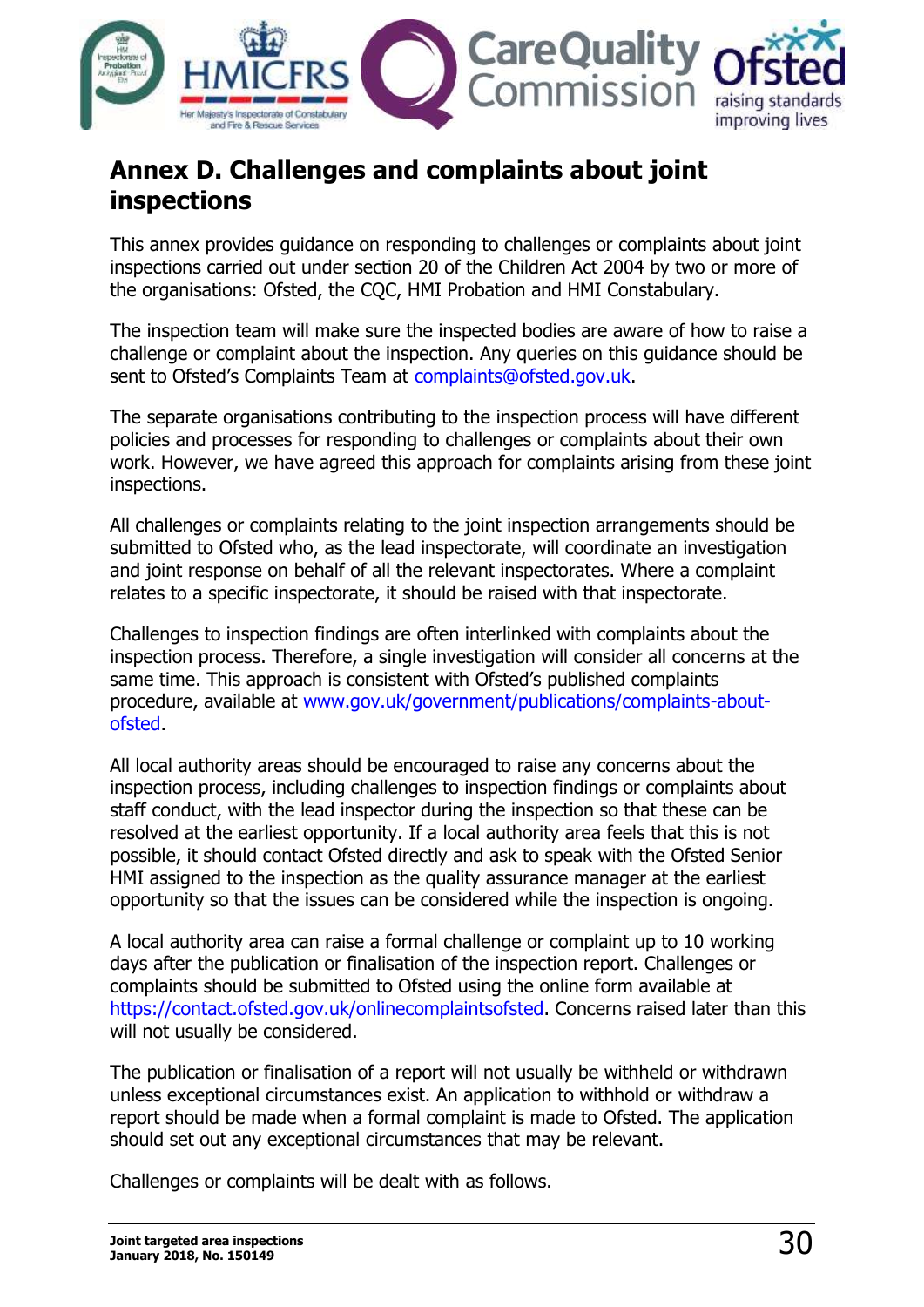

# <span id="page-29-0"></span>**Annex D. Challenges and complaints about joint inspections**

This annex provides guidance on responding to challenges or complaints about joint inspections carried out under section 20 of the Children Act 2004 by two or more of the organisations: Ofsted, the CQC, HMI Probation and HMI Constabulary.

The inspection team will make sure the inspected bodies are aware of how to raise a challenge or complaint about the inspection. Any queries on this guidance should be sent to Ofsted's Complaints Team at [complaints@ofsted.gov.uk.](mailto:complaints@ofsted.gov.uk)

The separate organisations contributing to the inspection process will have different policies and processes for responding to challenges or complaints about their own work. However, we have agreed this approach for complaints arising from these joint inspections.

All challenges or complaints relating to the joint inspection arrangements should be submitted to Ofsted who, as the lead inspectorate, will coordinate an investigation and joint response on behalf of all the relevant inspectorates. Where a complaint relates to a specific inspectorate, it should be raised with that inspectorate.

Challenges to inspection findings are often interlinked with complaints about the inspection process. Therefore, a single investigation will consider all concerns at the same time. This approach is consistent with Ofsted's published complaints procedure, available at [www.gov.uk/government/publications/complaints-about](http://www.gov.uk/government/publications/complaints-about-ofsted)[ofsted.](http://www.gov.uk/government/publications/complaints-about-ofsted)

All local authority areas should be encouraged to raise any concerns about the inspection process, including challenges to inspection findings or complaints about staff conduct, with the lead inspector during the inspection so that these can be resolved at the earliest opportunity. If a local authority area feels that this is not possible, it should contact Ofsted directly and ask to speak with the Ofsted Senior HMI assigned to the inspection as the quality assurance manager at the earliest opportunity so that the issues can be considered while the inspection is ongoing.

A local authority area can raise a formal challenge or complaint up to 10 working days after the publication or finalisation of the inspection report. Challenges or complaints should be submitted to Ofsted using the online form available at [https://contact.ofsted.gov.uk/onlinecomplaintsofsted.](https://contact.ofsted.gov.uk/onlinecomplaintsofsted) Concerns raised later than this will not usually be considered.

The publication or finalisation of a report will not usually be withheld or withdrawn unless exceptional circumstances exist. An application to withhold or withdraw a report should be made when a formal complaint is made to Ofsted. The application should set out any exceptional circumstances that may be relevant.

Challenges or complaints will be dealt with as follows.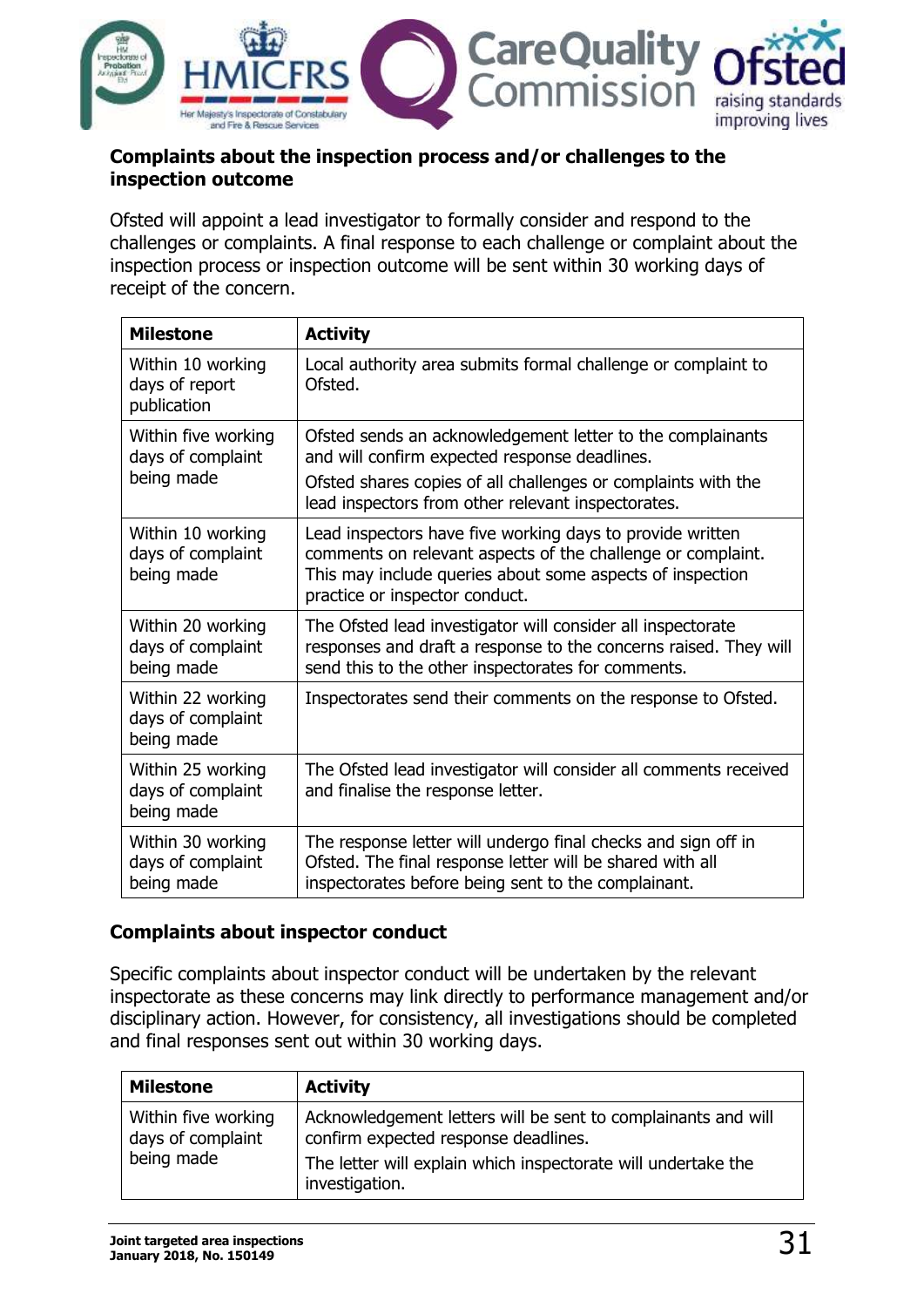

#### **Complaints about the inspection process and/or challenges to the inspection outcome**

Ofsted will appoint a lead investigator to formally consider and respond to the challenges or complaints. A final response to each challenge or complaint about the inspection process or inspection outcome will be sent within 30 working days of receipt of the concern.

| <b>Milestone</b>                                       | <b>Activity</b>                                                                                                                                                                                                         |
|--------------------------------------------------------|-------------------------------------------------------------------------------------------------------------------------------------------------------------------------------------------------------------------------|
| Within 10 working<br>days of report<br>publication     | Local authority area submits formal challenge or complaint to<br>Ofsted.                                                                                                                                                |
| Within five working<br>days of complaint<br>being made | Ofsted sends an acknowledgement letter to the complainants<br>and will confirm expected response deadlines.                                                                                                             |
|                                                        | Ofsted shares copies of all challenges or complaints with the<br>lead inspectors from other relevant inspectorates.                                                                                                     |
| Within 10 working<br>days of complaint<br>being made   | Lead inspectors have five working days to provide written<br>comments on relevant aspects of the challenge or complaint.<br>This may include queries about some aspects of inspection<br>practice or inspector conduct. |
| Within 20 working<br>days of complaint<br>being made   | The Ofsted lead investigator will consider all inspectorate<br>responses and draft a response to the concerns raised. They will<br>send this to the other inspectorates for comments.                                   |
| Within 22 working<br>days of complaint<br>being made   | Inspectorates send their comments on the response to Ofsted.                                                                                                                                                            |
| Within 25 working<br>days of complaint<br>being made   | The Ofsted lead investigator will consider all comments received<br>and finalise the response letter.                                                                                                                   |
| Within 30 working<br>days of complaint<br>being made   | The response letter will undergo final checks and sign off in<br>Ofsted. The final response letter will be shared with all<br>inspectorates before being sent to the complainant.                                       |

#### **Complaints about inspector conduct**

Specific complaints about inspector conduct will be undertaken by the relevant inspectorate as these concerns may link directly to performance management and/or disciplinary action. However, for consistency, all investigations should be completed and final responses sent out within 30 working days.

| <b>Milestone</b>                                       | <b>Activity</b>                                                                                                                                                                          |
|--------------------------------------------------------|------------------------------------------------------------------------------------------------------------------------------------------------------------------------------------------|
| Within five working<br>days of complaint<br>being made | Acknowledgement letters will be sent to complainants and will<br>confirm expected response deadlines.<br>The letter will explain which inspectorate will undertake the<br>investigation. |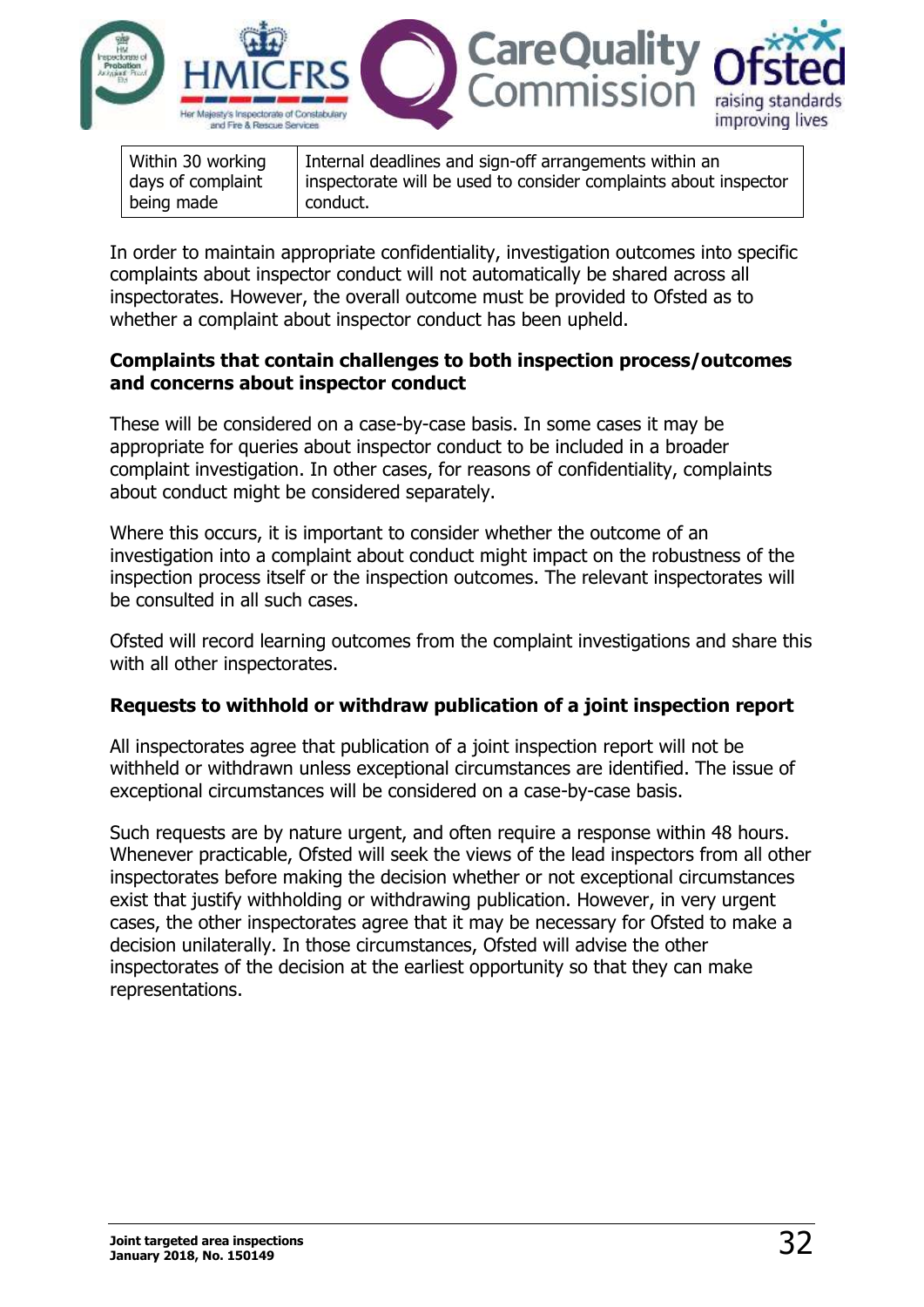

| Within 30 working | Internal deadlines and sign-off arrangements within an           |
|-------------------|------------------------------------------------------------------|
| days of complaint | inspectorate will be used to consider complaints about inspector |
| being made        | conduct.                                                         |

In order to maintain appropriate confidentiality, investigation outcomes into specific complaints about inspector conduct will not automatically be shared across all inspectorates. However, the overall outcome must be provided to Ofsted as to whether a complaint about inspector conduct has been upheld.

#### **Complaints that contain challenges to both inspection process/outcomes and concerns about inspector conduct**

These will be considered on a case-by-case basis. In some cases it may be appropriate for queries about inspector conduct to be included in a broader complaint investigation. In other cases, for reasons of confidentiality, complaints about conduct might be considered separately.

Where this occurs, it is important to consider whether the outcome of an investigation into a complaint about conduct might impact on the robustness of the inspection process itself or the inspection outcomes. The relevant inspectorates will be consulted in all such cases.

Ofsted will record learning outcomes from the complaint investigations and share this with all other inspectorates.

#### **Requests to withhold or withdraw publication of a joint inspection report**

All inspectorates agree that publication of a joint inspection report will not be withheld or withdrawn unless exceptional circumstances are identified. The issue of exceptional circumstances will be considered on a case-by-case basis.

Such requests are by nature urgent, and often require a response within 48 hours. Whenever practicable, Ofsted will seek the views of the lead inspectors from all other inspectorates before making the decision whether or not exceptional circumstances exist that justify withholding or withdrawing publication. However, in very urgent cases, the other inspectorates agree that it may be necessary for Ofsted to make a decision unilaterally. In those circumstances, Ofsted will advise the other inspectorates of the decision at the earliest opportunity so that they can make representations.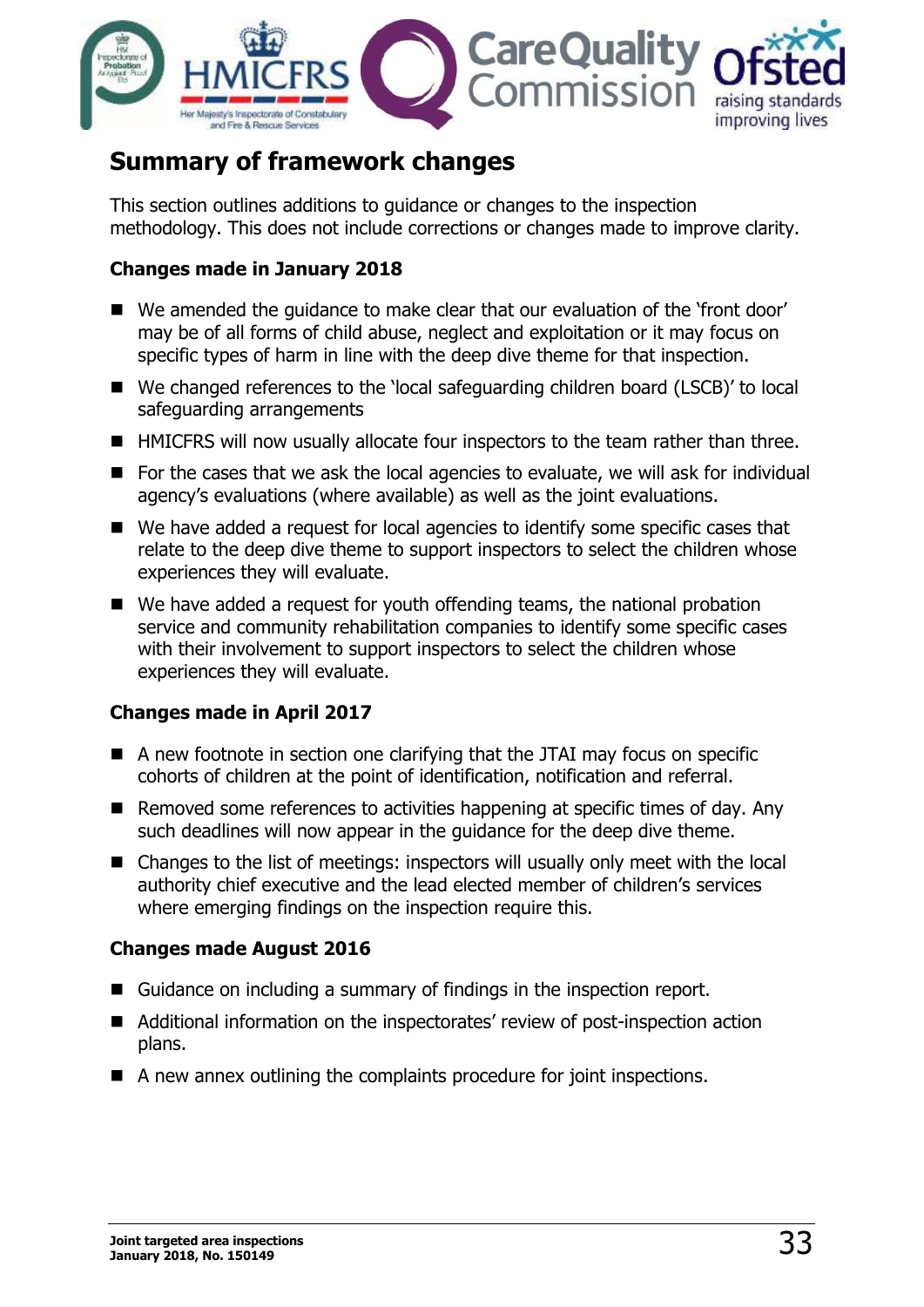

# <span id="page-32-0"></span>**Summary of framework changes**

This section outlines additions to guidance or changes to the inspection methodology. This does not include corrections or changes made to improve clarity.

#### **Changes made in January 2018**

- We amended the quidance to make clear that our evaluation of the 'front door' may be of all forms of child abuse, neglect and exploitation or it may focus on specific types of harm in line with the deep dive theme for that inspection.
- We changed references to the 'local safeguarding children board (LSCB)' to local safeguarding arrangements
- HMICFRS will now usually allocate four inspectors to the team rather than three.
- For the cases that we ask the local agencies to evaluate, we will ask for individual agency's evaluations (where available) as well as the joint evaluations.
- We have added a request for local agencies to identify some specific cases that relate to the deep dive theme to support inspectors to select the children whose experiences they will evaluate.
- We have added a request for youth offending teams, the national probation service and community rehabilitation companies to identify some specific cases with their involvement to support inspectors to select the children whose experiences they will evaluate.

#### **Changes made in April 2017**

- A new footnote in section one clarifying that the JTAI may focus on specific cohorts of children at the point of identification, notification and referral.
- Removed some references to activities happening at specific times of day. Any such deadlines will now appear in the guidance for the deep dive theme.
- Changes to the list of meetings: inspectors will usually only meet with the local authority chief executive and the lead elected member of children's services where emerging findings on the inspection require this.

#### **Changes made August 2016**

- Guidance on including a summary of findings in the inspection report.
- Additional information on the inspectorates' review of post-inspection action plans.
- A new annex outlining the complaints procedure for joint inspections.